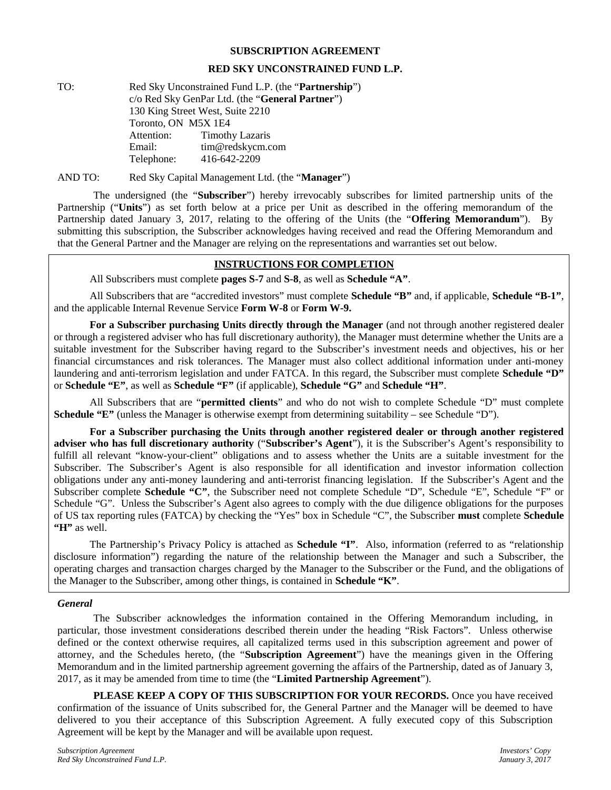#### **SUBSCRIPTION AGREEMENT**

#### **RED SKY UNCONSTRAINED FUND L.P.**

TO: Red Sky Unconstrained Fund L.P. (the "**Partnership**") c/o Red Sky GenPar Ltd. (the "**General Partner**") 130 King Street West, Suite 2210 Toronto, ON M5X 1E4 Attention: Timothy Lazaris Email: tim@redskycm.com Telephone: 416-642-2209

AND TO: Red Sky Capital Management Ltd. (the "**Manager**")

The undersigned (the "**Subscriber**") hereby irrevocably subscribes for limited partnership units of the Partnership ("**Units**") as set forth below at a price per Unit as described in the offering memorandum of the Partnership dated January 3, 2017, relating to the offering of the Units (the "**Offering Memorandum**"). By submitting this subscription, the Subscriber acknowledges having received and read the Offering Memorandum and that the General Partner and the Manager are relying on the representations and warranties set out below.

# **INSTRUCTIONS FOR COMPLETION**

All Subscribers must complete **pages S-7** and **S-8**, as well as **Schedule "A"**.

All Subscribers that are "accredited investors" must complete **Schedule "B"** and, if applicable, **Schedule "B-1"**, and the applicable Internal Revenue Service **Form W-8** or **Form W-9.**

**For a Subscriber purchasing Units directly through the Manager** (and not through another registered dealer or through a registered adviser who has full discretionary authority), the Manager must determine whether the Units are a suitable investment for the Subscriber having regard to the Subscriber's investment needs and objectives, his or her financial circumstances and risk tolerances. The Manager must also collect additional information under anti-money laundering and anti-terrorism legislation and under FATCA. In this regard, the Subscriber must complete **Schedule "D"** or **Schedule "E"**, as well as **Schedule "F"** (if applicable), **Schedule "G"** and **Schedule "H"**.

All Subscribers that are "**permitted clients**" and who do not wish to complete Schedule "D" must complete **Schedule "E"** (unless the Manager is otherwise exempt from determining suitability – see Schedule "D").

**For a Subscriber purchasing the Units through another registered dealer or through another registered adviser who has full discretionary authority** ("**Subscriber's Agent**"), it is the Subscriber's Agent's responsibility to fulfill all relevant "know-your-client" obligations and to assess whether the Units are a suitable investment for the Subscriber. The Subscriber's Agent is also responsible for all identification and investor information collection obligations under any anti-money laundering and anti-terrorist financing legislation. If the Subscriber's Agent and the Subscriber complete **Schedule "C"**, the Subscriber need not complete Schedule "D", Schedule "E", Schedule "F" or Schedule "G". Unless the Subscriber's Agent also agrees to comply with the due diligence obligations for the purposes of US tax reporting rules (FATCA) by checking the "Yes" box in Schedule "C", the Subscriber **must** complete **Schedule "H"** as well.

The Partnership's Privacy Policy is attached as **Schedule "I"**. Also, information (referred to as "relationship disclosure information") regarding the nature of the relationship between the Manager and such a Subscriber, the operating charges and transaction charges charged by the Manager to the Subscriber or the Fund, and the obligations of the Manager to the Subscriber, among other things, is contained in **Schedule "K"**.

#### *General*

The Subscriber acknowledges the information contained in the Offering Memorandum including, in particular, those investment considerations described therein under the heading "Risk Factors". Unless otherwise defined or the context otherwise requires, all capitalized terms used in this subscription agreement and power of attorney, and the Schedules hereto, (the "**Subscription Agreement**") have the meanings given in the Offering Memorandum and in the limited partnership agreement governing the affairs of the Partnership, dated as of January 3, 2017, as it may be amended from time to time (the "**Limited Partnership Agreement**").

**PLEASE KEEP A COPY OF THIS SUBSCRIPTION FOR YOUR RECORDS.** Once you have received confirmation of the issuance of Units subscribed for, the General Partner and the Manager will be deemed to have delivered to you their acceptance of this Subscription Agreement. A fully executed copy of this Subscription Agreement will be kept by the Manager and will be available upon request.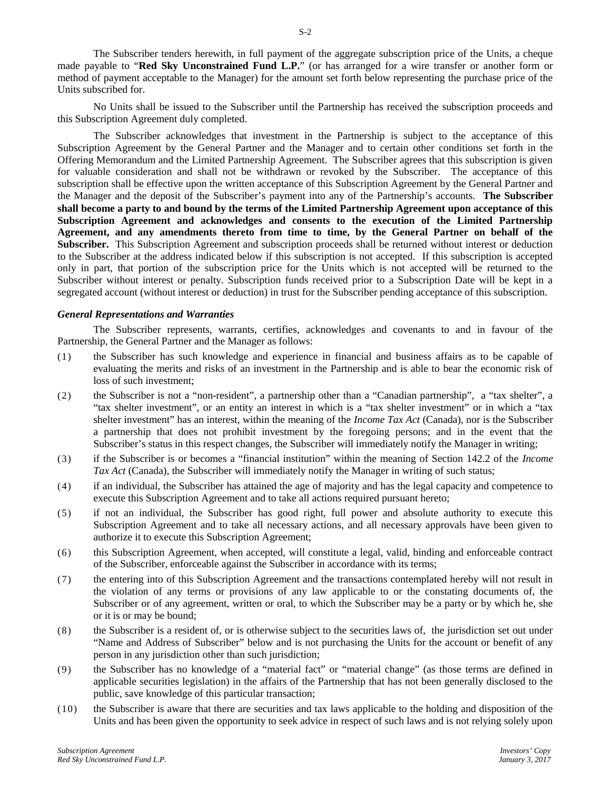The Subscriber tenders herewith, in full payment of the aggregate subscription price of the Units, a cheque made payable to "**Red Sky Unconstrained Fund L.P.**" (or has arranged for a wire transfer or another form or method of payment acceptable to the Manager) for the amount set forth below representing the purchase price of the Units subscribed for.

No Units shall be issued to the Subscriber until the Partnership has received the subscription proceeds and this Subscription Agreement duly completed.

The Subscriber acknowledges that investment in the Partnership is subject to the acceptance of this Subscription Agreement by the General Partner and the Manager and to certain other conditions set forth in the Offering Memorandum and the Limited Partnership Agreement. The Subscriber agrees that this subscription is given for valuable consideration and shall not be withdrawn or revoked by the Subscriber. The acceptance of this subscription shall be effective upon the written acceptance of this Subscription Agreement by the General Partner and the Manager and the deposit of the Subscriber's payment into any of the Partnership's accounts. **The Subscriber shall become a party to and bound by the terms of the Limited Partnership Agreement upon acceptance of this Subscription Agreement and acknowledges and consents to the execution of the Limited Partnership Agreement, and any amendments thereto from time to time, by the General Partner on behalf of the Subscriber.** This Subscription Agreement and subscription proceeds shall be returned without interest or deduction to the Subscriber at the address indicated below if this subscription is not accepted. If this subscription is accepted only in part, that portion of the subscription price for the Units which is not accepted will be returned to the Subscriber without interest or penalty. Subscription funds received prior to a Subscription Date will be kept in a segregated account (without interest or deduction) in trust for the Subscriber pending acceptance of this subscription.

#### *General Representations and Warranties*

The Subscriber represents, warrants, certifies, acknowledges and covenants to and in favour of the Partnership, the General Partner and the Manager as follows:

- (1) the Subscriber has such knowledge and experience in financial and business affairs as to be capable of evaluating the merits and risks of an investment in the Partnership and is able to bear the economic risk of loss of such investment;
- (2) the Subscriber is not a "non-resident", a partnership other than a "Canadian partnership", a "tax shelter", a "tax shelter investment", or an entity an interest in which is a "tax shelter investment" or in which a "tax shelter investment" has an interest, within the meaning of the *Income Tax Act* (Canada), nor is the Subscriber a partnership that does not prohibit investment by the foregoing persons; and in the event that the Subscriber's status in this respect changes, the Subscriber will immediately notify the Manager in writing;
- (3) if the Subscriber is or becomes a "financial institution" within the meaning of Section 142.2 of the *Income Tax Act* (Canada), the Subscriber will immediately notify the Manager in writing of such status;
- (4) if an individual, the Subscriber has attained the age of majority and has the legal capacity and competence to execute this Subscription Agreement and to take all actions required pursuant hereto;
- (5) if not an individual, the Subscriber has good right, full power and absolute authority to execute this Subscription Agreement and to take all necessary actions, and all necessary approvals have been given to authorize it to execute this Subscription Agreement;
- (6) this Subscription Agreement, when accepted, will constitute a legal, valid, binding and enforceable contract of the Subscriber, enforceable against the Subscriber in accordance with its terms;
- (7) the entering into of this Subscription Agreement and the transactions contemplated hereby will not result in the violation of any terms or provisions of any law applicable to or the constating documents of, the Subscriber or of any agreement, written or oral, to which the Subscriber may be a party or by which he, she or it is or may be bound;
- (8) the Subscriber is a resident of, or is otherwise subject to the securities laws of, the jurisdiction set out under "Name and Address of Subscriber" below and is not purchasing the Units for the account or benefit of any person in any jurisdiction other than such jurisdiction;
- (9) the Subscriber has no knowledge of a "material fact" or "material change" (as those terms are defined in applicable securities legislation) in the affairs of the Partnership that has not been generally disclosed to the public, save knowledge of this particular transaction;
- (10) the Subscriber is aware that there are securities and tax laws applicable to the holding and disposition of the Units and has been given the opportunity to seek advice in respect of such laws and is not relying solely upon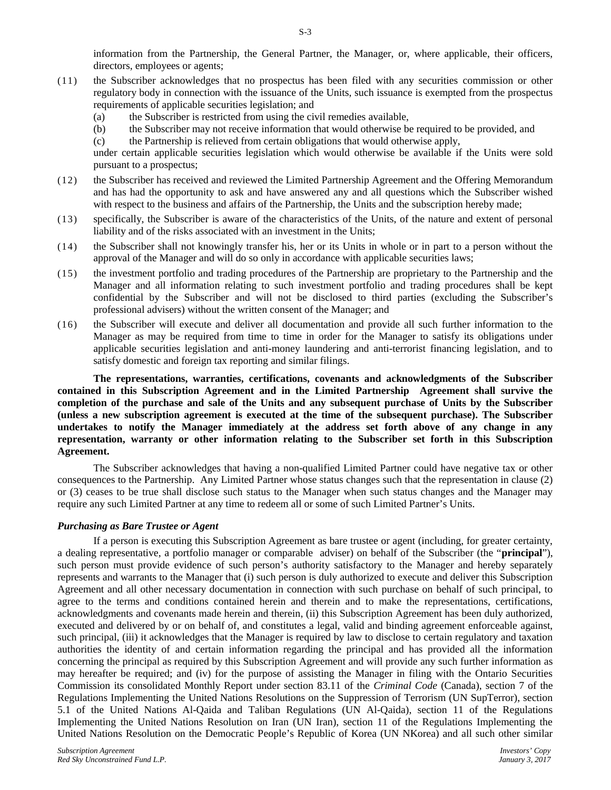information from the Partnership, the General Partner, the Manager, or, where applicable, their officers, directors, employees or agents;

- (11) the Subscriber acknowledges that no prospectus has been filed with any securities commission or other regulatory body in connection with the issuance of the Units, such issuance is exempted from the prospectus requirements of applicable securities legislation; and
	- (a) the Subscriber is restricted from using the civil remedies available,
	- (b) the Subscriber may not receive information that would otherwise be required to be provided, and
	- (c) the Partnership is relieved from certain obligations that would otherwise apply,

under certain applicable securities legislation which would otherwise be available if the Units were sold pursuant to a prospectus;

- (12) the Subscriber has received and reviewed the Limited Partnership Agreement and the Offering Memorandum and has had the opportunity to ask and have answered any and all questions which the Subscriber wished with respect to the business and affairs of the Partnership, the Units and the subscription hereby made;
- (13) specifically, the Subscriber is aware of the characteristics of the Units, of the nature and extent of personal liability and of the risks associated with an investment in the Units;
- (14) the Subscriber shall not knowingly transfer his, her or its Units in whole or in part to a person without the approval of the Manager and will do so only in accordance with applicable securities laws;
- (15) the investment portfolio and trading procedures of the Partnership are proprietary to the Partnership and the Manager and all information relating to such investment portfolio and trading procedures shall be kept confidential by the Subscriber and will not be disclosed to third parties (excluding the Subscriber's professional advisers) without the written consent of the Manager; and
- (16) the Subscriber will execute and deliver all documentation and provide all such further information to the Manager as may be required from time to time in order for the Manager to satisfy its obligations under applicable securities legislation and anti-money laundering and anti-terrorist financing legislation, and to satisfy domestic and foreign tax reporting and similar filings.

**The representations, warranties, certifications, covenants and acknowledgments of the Subscriber contained in this Subscription Agreement and in the Limited Partnership Agreement shall survive the completion of the purchase and sale of the Units and any subsequent purchase of Units by the Subscriber (unless a new subscription agreement is executed at the time of the subsequent purchase). The Subscriber undertakes to notify the Manager immediately at the address set forth above of any change in any representation, warranty or other information relating to the Subscriber set forth in this Subscription Agreement.**

The Subscriber acknowledges that having a non-qualified Limited Partner could have negative tax or other consequences to the Partnership. Any Limited Partner whose status changes such that the representation in clause (2) or (3) ceases to be true shall disclose such status to the Manager when such status changes and the Manager may require any such Limited Partner at any time to redeem all or some of such Limited Partner's Units.

#### *Purchasing as Bare Trustee or Agent*

If a person is executing this Subscription Agreement as bare trustee or agent (including, for greater certainty, a dealing representative, a portfolio manager or comparable adviser) on behalf of the Subscriber (the "**principal**"), such person must provide evidence of such person's authority satisfactory to the Manager and hereby separately represents and warrants to the Manager that (i) such person is duly authorized to execute and deliver this Subscription Agreement and all other necessary documentation in connection with such purchase on behalf of such principal, to agree to the terms and conditions contained herein and therein and to make the representations, certifications, acknowledgments and covenants made herein and therein, (ii) this Subscription Agreement has been duly authorized, executed and delivered by or on behalf of, and constitutes a legal, valid and binding agreement enforceable against, such principal, (iii) it acknowledges that the Manager is required by law to disclose to certain regulatory and taxation authorities the identity of and certain information regarding the principal and has provided all the information concerning the principal as required by this Subscription Agreement and will provide any such further information as may hereafter be required; and (iv) for the purpose of assisting the Manager in filing with the Ontario Securities Commission its consolidated Monthly Report under section 83.11 of the *Criminal Code* (Canada), section 7 of the Regulations Implementing the United Nations Resolutions on the Suppression of Terrorism (UN SupTerror), section 5.1 of the United Nations Al-Qaida and Taliban Regulations (UN Al-Qaida), section 11 of the Regulations Implementing the United Nations Resolution on Iran (UN Iran), section 11 of the Regulations Implementing the United Nations Resolution on the Democratic People's Republic of Korea (UN NKorea) and all such other similar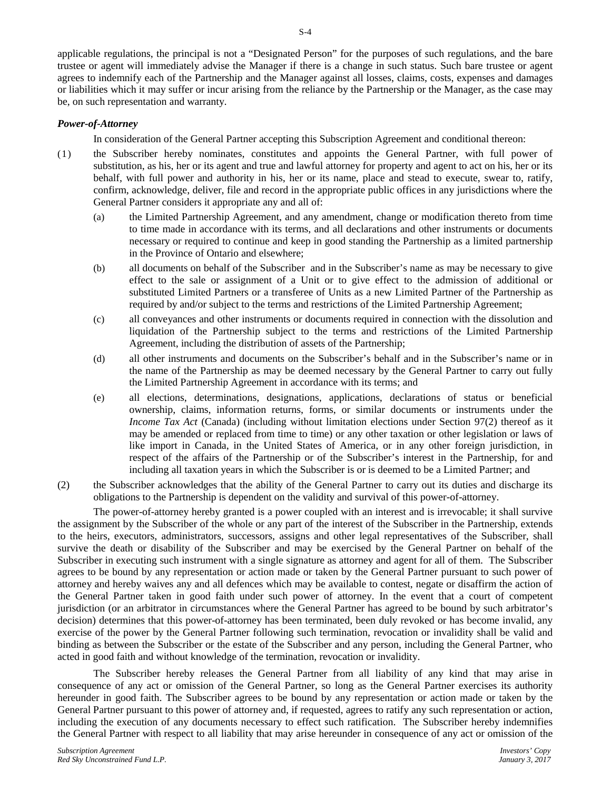applicable regulations, the principal is not a "Designated Person" for the purposes of such regulations, and the bare trustee or agent will immediately advise the Manager if there is a change in such status. Such bare trustee or agent agrees to indemnify each of the Partnership and the Manager against all losses, claims, costs, expenses and damages or liabilities which it may suffer or incur arising from the reliance by the Partnership or the Manager, as the case may be, on such representation and warranty.

#### *Power-of-Attorney*

In consideration of the General Partner accepting this Subscription Agreement and conditional thereon:

- (1) the Subscriber hereby nominates, constitutes and appoints the General Partner, with full power of substitution, as his, her or its agent and true and lawful attorney for property and agent to act on his, her or its behalf, with full power and authority in his, her or its name, place and stead to execute, swear to, ratify, confirm, acknowledge, deliver, file and record in the appropriate public offices in any jurisdictions where the General Partner considers it appropriate any and all of:
	- (a) the Limited Partnership Agreement, and any amendment, change or modification thereto from time to time made in accordance with its terms, and all declarations and other instruments or documents necessary or required to continue and keep in good standing the Partnership as a limited partnership in the Province of Ontario and elsewhere;
	- (b) all documents on behalf of the Subscriber and in the Subscriber's name as may be necessary to give effect to the sale or assignment of a Unit or to give effect to the admission of additional or substituted Limited Partners or a transferee of Units as a new Limited Partner of the Partnership as required by and/or subject to the terms and restrictions of the Limited Partnership Agreement;
	- (c) all conveyances and other instruments or documents required in connection with the dissolution and liquidation of the Partnership subject to the terms and restrictions of the Limited Partnership Agreement, including the distribution of assets of the Partnership;
	- (d) all other instruments and documents on the Subscriber's behalf and in the Subscriber's name or in the name of the Partnership as may be deemed necessary by the General Partner to carry out fully the Limited Partnership Agreement in accordance with its terms; and
	- (e) all elections, determinations, designations, applications, declarations of status or beneficial ownership, claims, information returns, forms, or similar documents or instruments under the *Income Tax Act* (Canada) (including without limitation elections under Section 97(2) thereof as it may be amended or replaced from time to time) or any other taxation or other legislation or laws of like import in Canada, in the United States of America, or in any other foreign jurisdiction, in respect of the affairs of the Partnership or of the Subscriber's interest in the Partnership, for and including all taxation years in which the Subscriber is or is deemed to be a Limited Partner; and
- (2) the Subscriber acknowledges that the ability of the General Partner to carry out its duties and discharge its obligations to the Partnership is dependent on the validity and survival of this power-of-attorney.

The power-of-attorney hereby granted is a power coupled with an interest and is irrevocable; it shall survive the assignment by the Subscriber of the whole or any part of the interest of the Subscriber in the Partnership, extends to the heirs, executors, administrators, successors, assigns and other legal representatives of the Subscriber, shall survive the death or disability of the Subscriber and may be exercised by the General Partner on behalf of the Subscriber in executing such instrument with a single signature as attorney and agent for all of them. The Subscriber agrees to be bound by any representation or action made or taken by the General Partner pursuant to such power of attorney and hereby waives any and all defences which may be available to contest, negate or disaffirm the action of the General Partner taken in good faith under such power of attorney. In the event that a court of competent jurisdiction (or an arbitrator in circumstances where the General Partner has agreed to be bound by such arbitrator's decision) determines that this power-of-attorney has been terminated, been duly revoked or has become invalid, any exercise of the power by the General Partner following such termination, revocation or invalidity shall be valid and binding as between the Subscriber or the estate of the Subscriber and any person, including the General Partner, who acted in good faith and without knowledge of the termination, revocation or invalidity.

The Subscriber hereby releases the General Partner from all liability of any kind that may arise in consequence of any act or omission of the General Partner, so long as the General Partner exercises its authority hereunder in good faith. The Subscriber agrees to be bound by any representation or action made or taken by the General Partner pursuant to this power of attorney and, if requested, agrees to ratify any such representation or action, including the execution of any documents necessary to effect such ratification. The Subscriber hereby indemnifies the General Partner with respect to all liability that may arise hereunder in consequence of any act or omission of the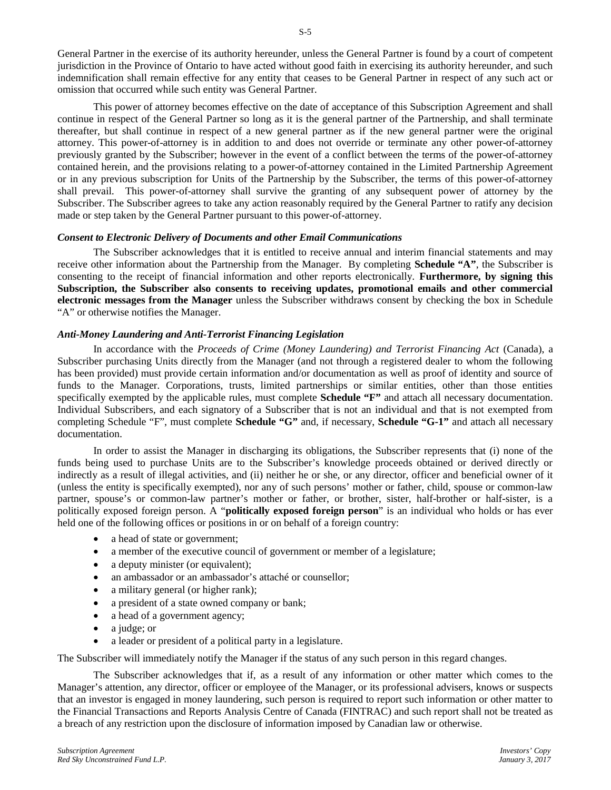General Partner in the exercise of its authority hereunder, unless the General Partner is found by a court of competent jurisdiction in the Province of Ontario to have acted without good faith in exercising its authority hereunder, and such indemnification shall remain effective for any entity that ceases to be General Partner in respect of any such act or omission that occurred while such entity was General Partner.

This power of attorney becomes effective on the date of acceptance of this Subscription Agreement and shall continue in respect of the General Partner so long as it is the general partner of the Partnership, and shall terminate thereafter, but shall continue in respect of a new general partner as if the new general partner were the original attorney. This power-of-attorney is in addition to and does not override or terminate any other power-of-attorney previously granted by the Subscriber; however in the event of a conflict between the terms of the power-of-attorney contained herein, and the provisions relating to a power-of-attorney contained in the Limited Partnership Agreement or in any previous subscription for Units of the Partnership by the Subscriber, the terms of this power-of-attorney shall prevail. This power-of-attorney shall survive the granting of any subsequent power of attorney by the Subscriber. The Subscriber agrees to take any action reasonably required by the General Partner to ratify any decision made or step taken by the General Partner pursuant to this power-of-attorney.

#### *Consent to Electronic Delivery of Documents and other Email Communications*

The Subscriber acknowledges that it is entitled to receive annual and interim financial statements and may receive other information about the Partnership from the Manager. By completing **Schedule "A"**, the Subscriber is consenting to the receipt of financial information and other reports electronically. **Furthermore, by signing this Subscription, the Subscriber also consents to receiving updates, promotional emails and other commercial electronic messages from the Manager** unless the Subscriber withdraws consent by checking the box in Schedule "A" or otherwise notifies the Manager.

#### *Anti-Money Laundering and Anti-Terrorist Financing Legislation*

In accordance with the *Proceeds of Crime (Money Laundering) and Terrorist Financing Act* (Canada), a Subscriber purchasing Units directly from the Manager (and not through a registered dealer to whom the following has been provided) must provide certain information and/or documentation as well as proof of identity and source of funds to the Manager. Corporations, trusts, limited partnerships or similar entities, other than those entities specifically exempted by the applicable rules, must complete **Schedule "F"** and attach all necessary documentation. Individual Subscribers, and each signatory of a Subscriber that is not an individual and that is not exempted from completing Schedule "F", must complete **Schedule "G"** and, if necessary, **Schedule "G-1"** and attach all necessary documentation.

In order to assist the Manager in discharging its obligations, the Subscriber represents that (i) none of the funds being used to purchase Units are to the Subscriber's knowledge proceeds obtained or derived directly or indirectly as a result of illegal activities, and (ii) neither he or she, or any director, officer and beneficial owner of it (unless the entity is specifically exempted), nor any of such persons' mother or father, child, spouse or common-law partner, spouse's or common-law partner's mother or father, or brother, sister, half-brother or half-sister, is a politically exposed foreign person. A "**politically exposed foreign person**" is an individual who holds or has ever held one of the following offices or positions in or on behalf of a foreign country:

- a head of state or government;
- a member of the executive council of government or member of a legislature;
- a deputy minister (or equivalent);
- an ambassador or an ambassador's attaché or counsellor;
- a military general (or higher rank);
- a president of a state owned company or bank;
- a head of a government agency;
- a judge; or
- a leader or president of a political party in a legislature.

The Subscriber will immediately notify the Manager if the status of any such person in this regard changes.

The Subscriber acknowledges that if, as a result of any information or other matter which comes to the Manager's attention, any director, officer or employee of the Manager, or its professional advisers, knows or suspects that an investor is engaged in money laundering, such person is required to report such information or other matter to the Financial Transactions and Reports Analysis Centre of Canada (FINTRAC) and such report shall not be treated as a breach of any restriction upon the disclosure of information imposed by Canadian law or otherwise.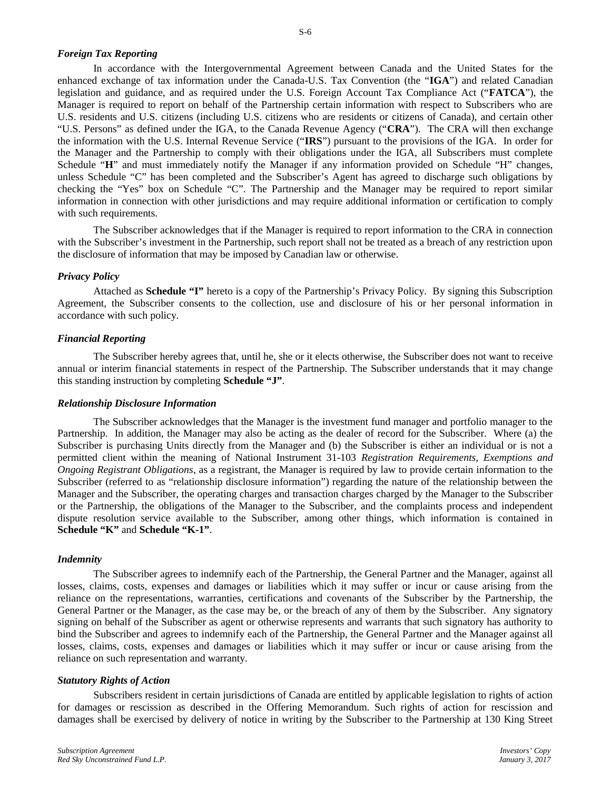#### *Foreign Tax Reporting*

In accordance with the Intergovernmental Agreement between Canada and the United States for the enhanced exchange of tax information under the Canada-U.S. Tax Convention (the "**IGA**") and related Canadian legislation and guidance, and as required under the U.S. Foreign Account Tax Compliance Act ("**FATCA**"), the Manager is required to report on behalf of the Partnership certain information with respect to Subscribers who are U.S. residents and U.S. citizens (including U.S. citizens who are residents or citizens of Canada), and certain other "U.S. Persons" as defined under the IGA, to the Canada Revenue Agency ("**CRA**"). The CRA will then exchange the information with the U.S. Internal Revenue Service ("**IRS**") pursuant to the provisions of the IGA. In order for the Manager and the Partnership to comply with their obligations under the IGA, all Subscribers must complete Schedule "H" and must immediately notify the Manager if any information provided on Schedule "H" changes, unless Schedule "C" has been completed and the Subscriber's Agent has agreed to discharge such obligations by checking the "Yes" box on Schedule "C". The Partnership and the Manager may be required to report similar information in connection with other jurisdictions and may require additional information or certification to comply with such requirements.

The Subscriber acknowledges that if the Manager is required to report information to the CRA in connection with the Subscriber's investment in the Partnership, such report shall not be treated as a breach of any restriction upon the disclosure of information that may be imposed by Canadian law or otherwise.

#### *Privacy Policy*

Attached as **Schedule "I"** hereto is a copy of the Partnership's Privacy Policy. By signing this Subscription Agreement, the Subscriber consents to the collection, use and disclosure of his or her personal information in accordance with such policy.

#### *Financial Reporting*

The Subscriber hereby agrees that, until he, she or it elects otherwise, the Subscriber does not want to receive annual or interim financial statements in respect of the Partnership. The Subscriber understands that it may change this standing instruction by completing **Schedule "J"**.

#### *Relationship Disclosure Information*

The Subscriber acknowledges that the Manager is the investment fund manager and portfolio manager to the Partnership. In addition, the Manager may also be acting as the dealer of record for the Subscriber. Where (a) the Subscriber is purchasing Units directly from the Manager and (b) the Subscriber is either an individual or is not a permitted client within the meaning of National Instrument 31-103 *Registration Requirements, Exemptions and Ongoing Registrant Obligations*, as a registrant, the Manager is required by law to provide certain information to the Subscriber (referred to as "relationship disclosure information") regarding the nature of the relationship between the Manager and the Subscriber, the operating charges and transaction charges charged by the Manager to the Subscriber or the Partnership, the obligations of the Manager to the Subscriber, and the complaints process and independent dispute resolution service available to the Subscriber, among other things, which information is contained in **Schedule "K"** and **Schedule "K-1"**.

#### *Indemnity*

The Subscriber agrees to indemnify each of the Partnership, the General Partner and the Manager, against all losses, claims, costs, expenses and damages or liabilities which it may suffer or incur or cause arising from the reliance on the representations, warranties, certifications and covenants of the Subscriber by the Partnership, the General Partner or the Manager, as the case may be, or the breach of any of them by the Subscriber. Any signatory signing on behalf of the Subscriber as agent or otherwise represents and warrants that such signatory has authority to bind the Subscriber and agrees to indemnify each of the Partnership, the General Partner and the Manager against all losses, claims, costs, expenses and damages or liabilities which it may suffer or incur or cause arising from the reliance on such representation and warranty.

#### *Statutory Rights of Action*

Subscribers resident in certain jurisdictions of Canada are entitled by applicable legislation to rights of action for damages or rescission as described in the Offering Memorandum. Such rights of action for rescission and damages shall be exercised by delivery of notice in writing by the Subscriber to the Partnership at 130 King Street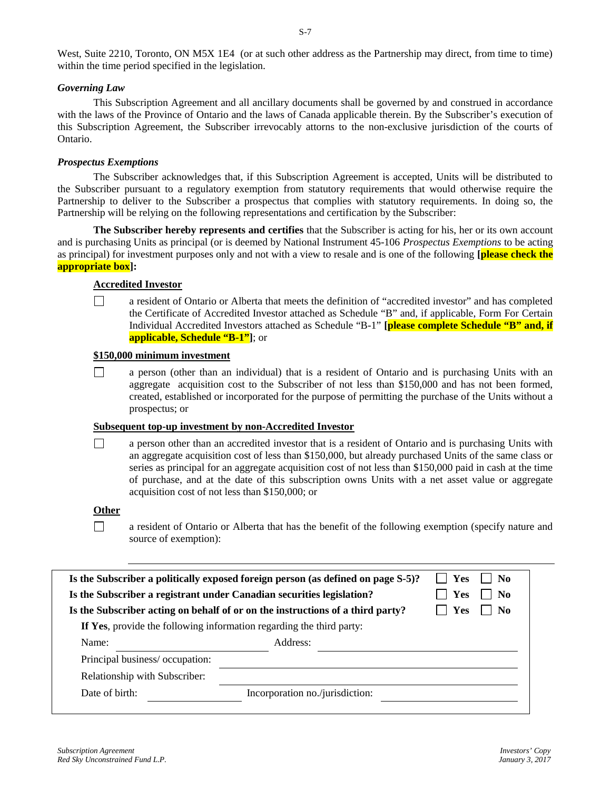West, Suite 2210, Toronto, ON M5X 1E4 (or at such other address as the Partnership may direct, from time to time) within the time period specified in the legislation.

#### *Governing Law*

This Subscription Agreement and all ancillary documents shall be governed by and construed in accordance with the laws of the Province of Ontario and the laws of Canada applicable therein. By the Subscriber's execution of this Subscription Agreement, the Subscriber irrevocably attorns to the non-exclusive jurisdiction of the courts of Ontario.

#### *Prospectus Exemptions*

The Subscriber acknowledges that, if this Subscription Agreement is accepted, Units will be distributed to the Subscriber pursuant to a regulatory exemption from statutory requirements that would otherwise require the Partnership to deliver to the Subscriber a prospectus that complies with statutory requirements. In doing so, the Partnership will be relying on the following representations and certification by the Subscriber:

**The Subscriber hereby represents and certifies** that the Subscriber is acting for his, her or its own account and is purchasing Units as principal (or is deemed by National Instrument 45-106 *Prospectus Exemptions* to be acting as principal) for investment purposes only and not with a view to resale and is one of the following **[please check the appropriate box]:**

# **Accredited Investor**

 $\Box$ a resident of Ontario or Alberta that meets the definition of "accredited investor" and has completed the Certificate of Accredited Investor attached as Schedule "B" and, if applicable, Form For Certain Individual Accredited Investors attached as Schedule "B-1" **[please complete Schedule "B" and, if applicable, Schedule "B-1"]**; or

#### **\$150,000 minimum investment**

 $\Box$ a person (other than an individual) that is a resident of Ontario and is purchasing Units with an aggregate acquisition cost to the Subscriber of not less than \$150,000 and has not been formed, created, established or incorporated for the purpose of permitting the purchase of the Units without a prospectus; or

#### **Subsequent top-up investment by non-Accredited Investor**

 $\Box$ a person other than an accredited investor that is a resident of Ontario and is purchasing Units with an aggregate acquisition cost of less than \$150,000, but already purchased Units of the same class or series as principal for an aggregate acquisition cost of not less than \$150,000 paid in cash at the time of purchase, and at the date of this subscription owns Units with a net asset value or aggregate acquisition cost of not less than \$150,000; or

#### **Other**

П a resident of Ontario or Alberta that has the benefit of the following exemption (specify nature and source of exemption):

| Is the Subscriber a politically exposed foreign person (as defined on page S-5)? |                                                                      | <b>Yes</b><br>  No |  |  |
|----------------------------------------------------------------------------------|----------------------------------------------------------------------|--------------------|--|--|
| Is the Subscriber a registrant under Canadian securities legislation?            |                                                                      | <b>Yes</b><br>- No |  |  |
| Is the Subscriber acting on behalf of or on the instructions of a third party?   | Yes<br>  No                                                          |                    |  |  |
|                                                                                  | If Yes, provide the following information regarding the third party: |                    |  |  |
| Name:                                                                            | Address:                                                             |                    |  |  |
| Principal business/occupation:                                                   |                                                                      |                    |  |  |
| Relationship with Subscriber:                                                    |                                                                      |                    |  |  |
| Date of birth:                                                                   | Incorporation no./jurisdiction:                                      |                    |  |  |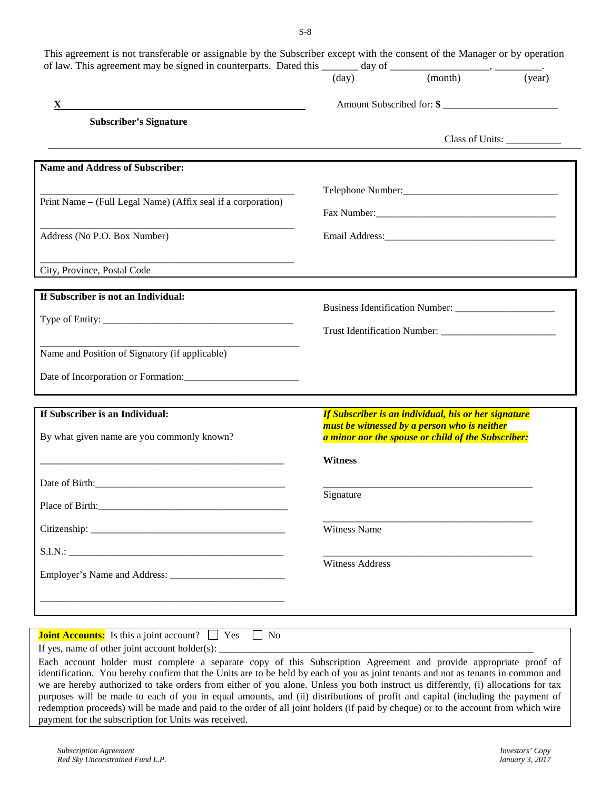| of law. This agreement may be signed in counterparts. Dated this $\frac{1}{(day)}$ day of $\frac{1}{(month)}$ .                                                                                                                |                 |                                                                                                                                                                                                                               | $\overline{(year)}$           |
|--------------------------------------------------------------------------------------------------------------------------------------------------------------------------------------------------------------------------------|-----------------|-------------------------------------------------------------------------------------------------------------------------------------------------------------------------------------------------------------------------------|-------------------------------|
| X                                                                                                                                                                                                                              |                 | Amount Subscribed for: \$                                                                                                                                                                                                     |                               |
| <b>Subscriber's Signature</b>                                                                                                                                                                                                  |                 |                                                                                                                                                                                                                               |                               |
|                                                                                                                                                                                                                                |                 |                                                                                                                                                                                                                               | Class of Units: _____________ |
| <b>Name and Address of Subscriber:</b>                                                                                                                                                                                         |                 |                                                                                                                                                                                                                               |                               |
|                                                                                                                                                                                                                                |                 |                                                                                                                                                                                                                               |                               |
| Print Name – (Full Legal Name) (Affix seal if a corporation)                                                                                                                                                                   |                 |                                                                                                                                                                                                                               |                               |
| Address (No P.O. Box Number)                                                                                                                                                                                                   |                 | Email Address: 2008 and 2008 and 2008 and 2008 and 2008 and 2008 and 2008 and 2008 and 2008 and 2008 and 2008 and 2008 and 2008 and 2008 and 2008 and 2008 and 2008 and 2008 and 2008 and 2008 and 2008 and 2008 and 2008 and |                               |
|                                                                                                                                                                                                                                |                 |                                                                                                                                                                                                                               |                               |
| City, Province, Postal Code                                                                                                                                                                                                    |                 |                                                                                                                                                                                                                               |                               |
| If Subscriber is not an Individual:                                                                                                                                                                                            |                 |                                                                                                                                                                                                                               |                               |
|                                                                                                                                                                                                                                |                 |                                                                                                                                                                                                                               |                               |
|                                                                                                                                                                                                                                |                 |                                                                                                                                                                                                                               |                               |
| Name and Position of Signatory (if applicable)                                                                                                                                                                                 |                 |                                                                                                                                                                                                                               |                               |
|                                                                                                                                                                                                                                |                 |                                                                                                                                                                                                                               |                               |
| If Subscriber is an Individual:                                                                                                                                                                                                |                 | If Subscriber is an individual, his or her signature                                                                                                                                                                          |                               |
| By what given name are you commonly known?                                                                                                                                                                                     |                 | must be witnessed by a person who is neither<br>a minor nor the spouse or child of the Subscriber:                                                                                                                            |                               |
|                                                                                                                                                                                                                                | <b>Witness</b>  |                                                                                                                                                                                                                               |                               |
|                                                                                                                                                                                                                                |                 |                                                                                                                                                                                                                               |                               |
| Place of Birth: 2008 and 2008 and 2008 and 2008 and 2008 and 2008 and 2008 and 2008 and 2008 and 2008 and 2008 and 2008 and 2008 and 2008 and 2008 and 2008 and 2008 and 2008 and 2008 and 2008 and 2008 and 2008 and 2008 and | Signature       |                                                                                                                                                                                                                               |                               |
|                                                                                                                                                                                                                                | Witness Name    |                                                                                                                                                                                                                               |                               |
|                                                                                                                                                                                                                                |                 |                                                                                                                                                                                                                               |                               |
|                                                                                                                                                                                                                                | Witness Address |                                                                                                                                                                                                                               |                               |
|                                                                                                                                                                                                                                |                 |                                                                                                                                                                                                                               |                               |
|                                                                                                                                                                                                                                |                 |                                                                                                                                                                                                                               |                               |

Each account holder must complete a separate copy of this Subscription Agreement and provide appropriate proof of identification. You hereby confirm that the Units are to be held by each of you as joint tenants and not as tenants in common and we are hereby authorized to take orders from either of you alone. Unless you both instruct us differently, (i) allocations for tax purposes will be made to each of you in equal amounts, and (ii) distributions of profit and capital (including the payment of redemption proceeds) will be made and paid to the order of all joint holders (if paid by cheque) or to the account from which wire payment for the subscription for Units was received.

S-8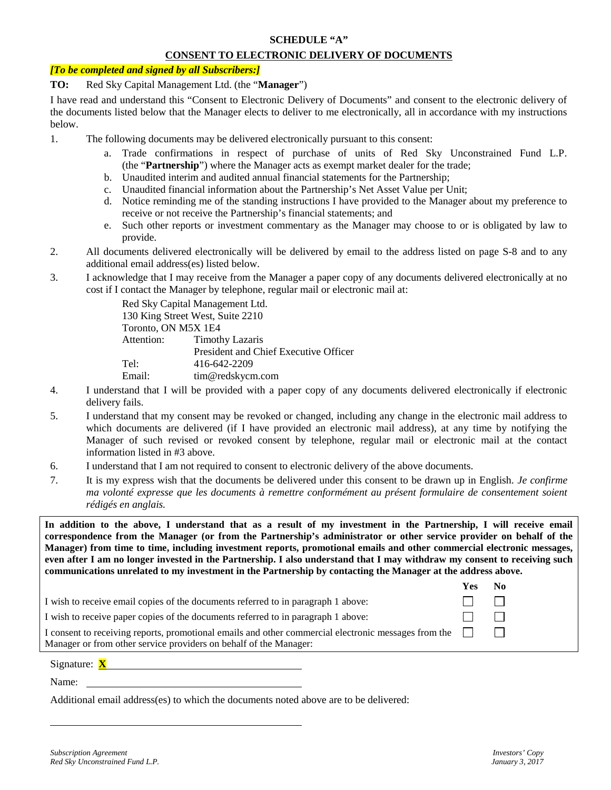### **SCHEDULE "A"**

# **CONSENT TO ELECTRONIC DELIVERY OF DOCUMENTS**

### *[To be completed and signed by all Subscribers:]*

**TO:** Red Sky Capital Management Ltd. (the "**Manager**")

I have read and understand this "Consent to Electronic Delivery of Documents" and consent to the electronic delivery of the documents listed below that the Manager elects to deliver to me electronically, all in accordance with my instructions below.

1. The following documents may be delivered electronically pursuant to this consent:

- a. Trade confirmations in respect of purchase of units of Red Sky Unconstrained Fund L.P. (the "**Partnership**") where the Manager acts as exempt market dealer for the trade;
- b. Unaudited interim and audited annual financial statements for the Partnership;
- c. Unaudited financial information about the Partnership's Net Asset Value per Unit;
- d. Notice reminding me of the standing instructions I have provided to the Manager about my preference to receive or not receive the Partnership's financial statements; and
- e. Such other reports or investment commentary as the Manager may choose to or is obligated by law to provide.
- 2. All documents delivered electronically will be delivered by email to the address listed on page S-8 and to any additional email address(es) listed below.
- 3. I acknowledge that I may receive from the Manager a paper copy of any documents delivered electronically at no cost if I contact the Manager by telephone, regular mail or electronic mail at:

Red Sky Capital Management Ltd. 130 King Street West, Suite 2210 Toronto, ON M5X 1E4 Attention: Timothy Lazaris President and Chief Executive Officer Tel: 416-642-2209 Email: tim@redskycm.com

- 4. I understand that I will be provided with a paper copy of any documents delivered electronically if electronic delivery fails.
- 5. I understand that my consent may be revoked or changed, including any change in the electronic mail address to which documents are delivered (if I have provided an electronic mail address), at any time by notifying the Manager of such revised or revoked consent by telephone, regular mail or electronic mail at the contact information listed in #3 above.
- 6. I understand that I am not required to consent to electronic delivery of the above documents.
- 7. It is my express wish that the documents be delivered under this consent to be drawn up in English. *Je confirme ma volonté expresse que les documents à remettre conformément au présent formulaire de consentement soient rédigés en anglais.*

**In addition to the above, I understand that as a result of my investment in the Partnership, I will receive email correspondence from the Manager (or from the Partnership's administrator or other service provider on behalf of the Manager) from time to time, including investment reports, promotional emails and other commercial electronic messages, even after I am no longer invested in the Partnership. I also understand that I may withdraw my consent to receiving such communications unrelated to my investment in the Partnership by contacting the Manager at the address above.**

|                                                                                                                                                                                  | Yes | No |  |
|----------------------------------------------------------------------------------------------------------------------------------------------------------------------------------|-----|----|--|
| I wish to receive email copies of the documents referred to in paragraph 1 above:                                                                                                |     |    |  |
| I wish to receive paper copies of the documents referred to in paragraph 1 above:                                                                                                |     |    |  |
| I consent to receiving reports, promotional emails and other commercial electronic messages from the $\Box$<br>Manager or from other service providers on behalf of the Manager: |     |    |  |
|                                                                                                                                                                                  |     |    |  |

Signature: **X**

Name:

Additional email address(es) to which the documents noted above are to be delivered: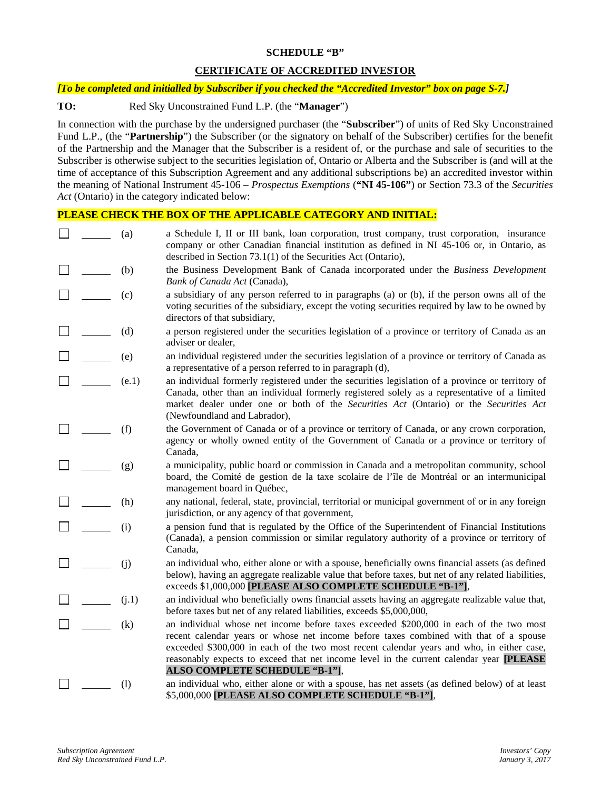### **SCHEDULE "B"**

# **CERTIFICATE OF ACCREDITED INVESTOR**

#### *[To be completed and initialled by Subscriber if you checked the "Accredited Investor" box on page S-7.]*

# **TO:** Red Sky Unconstrained Fund L.P. (the "**Manager**")

In connection with the purchase by the undersigned purchaser (the "**Subscriber**") of units of Red Sky Unconstrained Fund L.P., (the "**Partnership**") the Subscriber (or the signatory on behalf of the Subscriber) certifies for the benefit of the Partnership and the Manager that the Subscriber is a resident of, or the purchase and sale of securities to the Subscriber is otherwise subject to the securities legislation of, Ontario or Alberta and the Subscriber is (and will at the time of acceptance of this Subscription Agreement and any additional subscriptions be) an accredited investor within the meaning of National Instrument 45-106 – *Prospectus Exemptions* (**"NI 45-106"**) or Section 73.3 of the *Securities Act* (Ontario) in the category indicated below:

# **PLEASE CHECK THE BOX OF THE APPLICABLE CATEGORY AND INITIAL:**

|  | (a)   | a Schedule I, II or III bank, loan corporation, trust company, trust corporation, insurance<br>company or other Canadian financial institution as defined in NI 45-106 or, in Ontario, as<br>described in Section 73.1(1) of the Securities Act (Ontario),                                                                                                                                                       |
|--|-------|------------------------------------------------------------------------------------------------------------------------------------------------------------------------------------------------------------------------------------------------------------------------------------------------------------------------------------------------------------------------------------------------------------------|
|  | (b)   | the Business Development Bank of Canada incorporated under the Business Development<br>Bank of Canada Act (Canada),                                                                                                                                                                                                                                                                                              |
|  | (c)   | a subsidiary of any person referred to in paragraphs (a) or (b), if the person owns all of the<br>voting securities of the subsidiary, except the voting securities required by law to be owned by<br>directors of that subsidiary,                                                                                                                                                                              |
|  | (d)   | a person registered under the securities legislation of a province or territory of Canada as an<br>adviser or dealer,                                                                                                                                                                                                                                                                                            |
|  | (e)   | an individual registered under the securities legislation of a province or territory of Canada as<br>a representative of a person referred to in paragraph (d),                                                                                                                                                                                                                                                  |
|  | (e.1) | an individual formerly registered under the securities legislation of a province or territory of<br>Canada, other than an individual formerly registered solely as a representative of a limited<br>market dealer under one or both of the Securities Act (Ontario) or the Securities Act<br>(Newfoundland and Labrador),                                                                                        |
|  | (f)   | the Government of Canada or of a province or territory of Canada, or any crown corporation,<br>agency or wholly owned entity of the Government of Canada or a province or territory of<br>Canada,                                                                                                                                                                                                                |
|  | (g)   | a municipality, public board or commission in Canada and a metropolitan community, school<br>board, the Comité de gestion de la taxe scolaire de l'île de Montréal or an intermunicipal<br>management board in Québec,                                                                                                                                                                                           |
|  | (h)   | any national, federal, state, provincial, territorial or municipal government of or in any foreign<br>jurisdiction, or any agency of that government,                                                                                                                                                                                                                                                            |
|  | (i)   | a pension fund that is regulated by the Office of the Superintendent of Financial Institutions<br>(Canada), a pension commission or similar regulatory authority of a province or territory of<br>Canada,                                                                                                                                                                                                        |
|  | (i)   | an individual who, either alone or with a spouse, beneficially owns financial assets (as defined<br>below), having an aggregate realizable value that before taxes, but net of any related liabilities,<br>exceeds \$1,000,000 [PLEASE ALSO COMPLETE SCHEDULE "B-1"],                                                                                                                                            |
|  | (i.1) | an individual who beneficially owns financial assets having an aggregate realizable value that,<br>before taxes but net of any related liabilities, exceeds \$5,000,000,                                                                                                                                                                                                                                         |
|  | (k)   | an individual whose net income before taxes exceeded \$200,000 in each of the two most<br>recent calendar years or whose net income before taxes combined with that of a spouse<br>exceeded \$300,000 in each of the two most recent calendar years and who, in either case,<br>reasonably expects to exceed that net income level in the current calendar year [PLEASE<br><b>ALSO COMPLETE SCHEDULE "B-1"],</b> |
|  | (1)   | an individual who, either alone or with a spouse, has net assets (as defined below) of at least<br>\$5,000,000 [PLEASE ALSO COMPLETE SCHEDULE "B-1"],                                                                                                                                                                                                                                                            |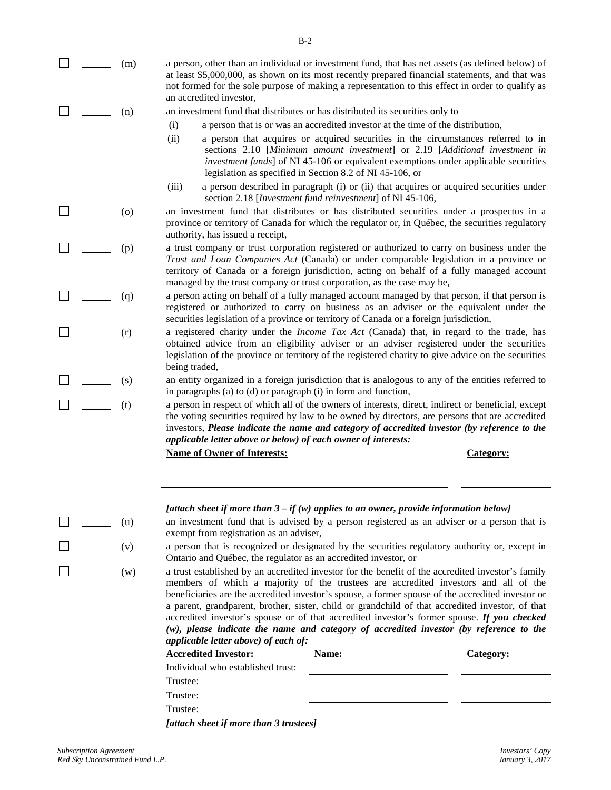$\Box$ 

 $\Box$ 

П

П

П

П

 $\Box$ 

 $\Box$ 

 $\Box$ 

- (m) a person, other than an individual or investment fund, that has net assets (as defined below) of at least \$5,000,000, as shown on its most recently prepared financial statements, and that was not formed for the sole purpose of making a representation to this effect in order to qualify as an accredited investor,
- (n) an investment fund that distributes or has distributed its securities only to
	- (i) a person that is or was an accredited investor at the time of the distribution,
	- (ii) a person that acquires or acquired securities in the circumstances referred to in sections 2.10 [*Minimum amount investment*] or 2.19 [*Additional investment in investment funds*] of NI 45-106 or equivalent exemptions under applicable securities legislation as specified in Section 8.2 of NI 45-106, or
	- (iii) a person described in paragraph (i) or (ii) that acquires or acquired securities under section 2.18 [*Investment fund reinvestment*] of NI 45-106,
- (o) an investment fund that distributes or has distributed securities under a prospectus in a province or territory of Canada for which the regulator or, in Québec, the securities regulatory authority, has issued a receipt,
- (p) a trust company or trust corporation registered or authorized to carry on business under the *Trust and Loan Companies Act* (Canada) or under comparable legislation in a province or territory of Canada or a foreign jurisdiction, acting on behalf of a fully managed account managed by the trust company or trust corporation, as the case may be,
- (q) a person acting on behalf of a fully managed account managed by that person, if that person is registered or authorized to carry on business as an adviser or the equivalent under the securities legislation of a province or territory of Canada or a foreign jurisdiction,
- (r) a registered charity under the *Income Tax Act* (Canada) that, in regard to the trade, has obtained advice from an eligibility adviser or an adviser registered under the securities legislation of the province or territory of the registered charity to give advice on the securities being traded,
- (s) an entity organized in a foreign jurisdiction that is analogous to any of the entities referred to in paragraphs (a) to (d) or paragraph (i) in form and function,
- (t) a person in respect of which all of the owners of interests, direct, indirect or beneficial, except the voting securities required by law to be owned by directors, are persons that are accredited investors, *Please indicate the name and category of accredited investor (by reference to the applicable letter above or below) of each owner of interests:*

**Name of Owner of Interests: Category:**

|     | $(w)$ , please indicate the name and category of accredited investor (by reference to the<br>applicable letter above) of each of:<br><b>Accredited Investor:</b> | Name:                                                                                  | Category:                                                                                                                                                                                                                                                                                                                                                                                   |  |  |
|-----|------------------------------------------------------------------------------------------------------------------------------------------------------------------|----------------------------------------------------------------------------------------|---------------------------------------------------------------------------------------------------------------------------------------------------------------------------------------------------------------------------------------------------------------------------------------------------------------------------------------------------------------------------------------------|--|--|
|     |                                                                                                                                                                  |                                                                                        |                                                                                                                                                                                                                                                                                                                                                                                             |  |  |
|     |                                                                                                                                                                  |                                                                                        | members of which a majority of the trustees are accredited investors and all of the<br>beneficiaries are the accredited investor's spouse, a former spouse of the accredited investor or<br>a parent, grandparent, brother, sister, child or grandchild of that accredited investor, of that<br>accredited investor's spouse or of that accredited investor's former spouse. If you checked |  |  |
| (w) |                                                                                                                                                                  |                                                                                        | a trust established by an accredited investor for the benefit of the accredited investor's family                                                                                                                                                                                                                                                                                           |  |  |
| (v) |                                                                                                                                                                  | Ontario and Québec, the regulator as an accredited investor, or                        | a person that is recognized or designated by the securities regulatory authority or, except in                                                                                                                                                                                                                                                                                              |  |  |
|     | an investment fund that is advised by a person registered as an adviser or a person that is<br>exempt from registration as an adviser,                           |                                                                                        |                                                                                                                                                                                                                                                                                                                                                                                             |  |  |
| (u) |                                                                                                                                                                  | [attach sheet if more than $3 - if(w)$ applies to an owner, provide information below] |                                                                                                                                                                                                                                                                                                                                                                                             |  |  |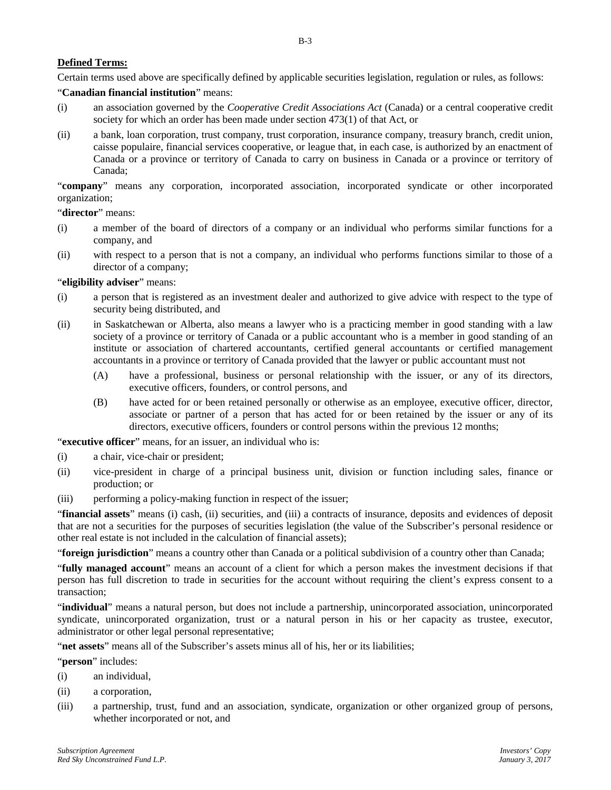#### B-3

#### **Defined Terms:**

Certain terms used above are specifically defined by applicable securities legislation, regulation or rules, as follows:

#### "**Canadian financial institution**" means:

- (i) an association governed by the *Cooperative Credit Associations Act* (Canada) or a central cooperative credit society for which an order has been made under section 473(1) of that Act, or
- (ii) a bank, loan corporation, trust company, trust corporation, insurance company, treasury branch, credit union, caisse populaire, financial services cooperative, or league that, in each case, is authorized by an enactment of Canada or a province or territory of Canada to carry on business in Canada or a province or territory of Canada;

"**company**" means any corporation, incorporated association, incorporated syndicate or other incorporated organization;

"**director**" means:

- (i) a member of the board of directors of a company or an individual who performs similar functions for a company, and
- (ii) with respect to a person that is not a company, an individual who performs functions similar to those of a director of a company;

#### "**eligibility adviser**" means:

- (i) a person that is registered as an investment dealer and authorized to give advice with respect to the type of security being distributed, and
- (ii) in Saskatchewan or Alberta, also means a lawyer who is a practicing member in good standing with a law society of a province or territory of Canada or a public accountant who is a member in good standing of an institute or association of chartered accountants, certified general accountants or certified management accountants in a province or territory of Canada provided that the lawyer or public accountant must not
	- (A) have a professional, business or personal relationship with the issuer, or any of its directors, executive officers, founders, or control persons, and
	- (B) have acted for or been retained personally or otherwise as an employee, executive officer, director, associate or partner of a person that has acted for or been retained by the issuer or any of its directors, executive officers, founders or control persons within the previous 12 months;

"**executive officer**" means, for an issuer, an individual who is:

- (i) a chair, vice-chair or president;
- (ii) vice-president in charge of a principal business unit, division or function including sales, finance or production; or
- (iii) performing a policy-making function in respect of the issuer;

"**financial assets**" means (i) cash, (ii) securities, and (iii) a contracts of insurance, deposits and evidences of deposit that are not a securities for the purposes of securities legislation (the value of the Subscriber's personal residence or other real estate is not included in the calculation of financial assets);

"**foreign jurisdiction**" means a country other than Canada or a political subdivision of a country other than Canada;

"**fully managed account**" means an account of a client for which a person makes the investment decisions if that person has full discretion to trade in securities for the account without requiring the client's express consent to a transaction;

"**individual**" means a natural person, but does not include a partnership, unincorporated association, unincorporated syndicate, unincorporated organization, trust or a natural person in his or her capacity as trustee, executor, administrator or other legal personal representative;

"**net assets**" means all of the Subscriber's assets minus all of his, her or its liabilities;

"**person**" includes:

- (i) an individual,
- (ii) a corporation,
- (iii) a partnership, trust, fund and an association, syndicate, organization or other organized group of persons, whether incorporated or not, and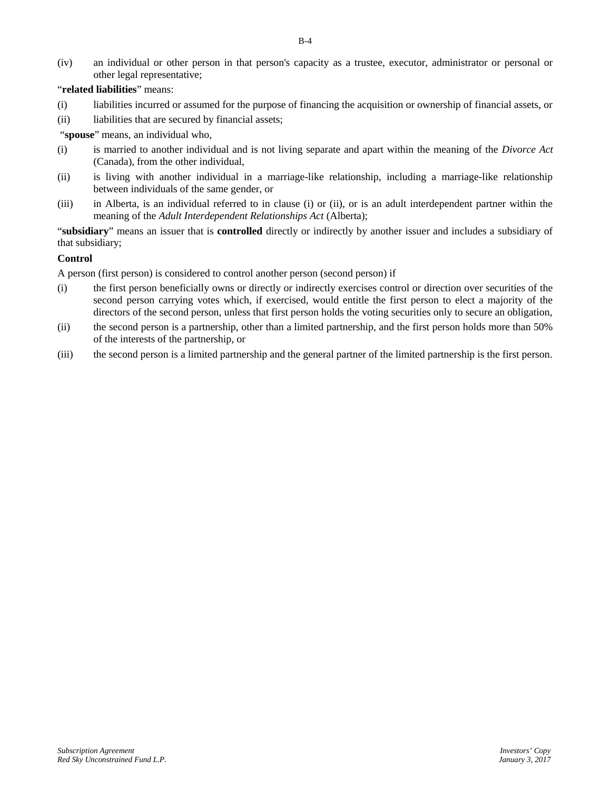(iv) an individual or other person in that person's capacity as a trustee, executor, administrator or personal or other legal representative;

# "**related liabilities**" means:

- (i) liabilities incurred or assumed for the purpose of financing the acquisition or ownership of financial assets, or
- (ii) liabilities that are secured by financial assets;

"**spouse**" means, an individual who,

- (i) is married to another individual and is not living separate and apart within the meaning of the *Divorce Act* (Canada), from the other individual,
- (ii) is living with another individual in a marriage-like relationship, including a marriage-like relationship between individuals of the same gender, or
- (iii) in Alberta, is an individual referred to in clause (i) or (ii), or is an adult interdependent partner within the meaning of the *Adult Interdependent Relationships Act* (Alberta);

"**subsidiary**" means an issuer that is **controlled** directly or indirectly by another issuer and includes a subsidiary of that subsidiary;

# **Control**

A person (first person) is considered to control another person (second person) if

- (i) the first person beneficially owns or directly or indirectly exercises control or direction over securities of the second person carrying votes which, if exercised, would entitle the first person to elect a majority of the directors of the second person, unless that first person holds the voting securities only to secure an obligation,
- (ii) the second person is a partnership, other than a limited partnership, and the first person holds more than 50% of the interests of the partnership, or
- (iii) the second person is a limited partnership and the general partner of the limited partnership is the first person.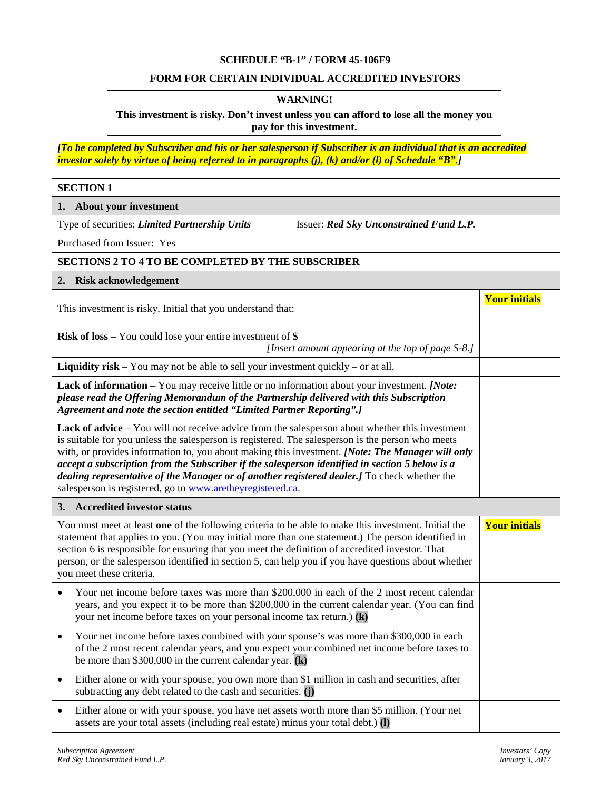# **SCHEDULE "B-1" / FORM 45-106F9**

# **FORM FOR CERTAIN INDIVIDUAL ACCREDITED INVESTORS**

# **WARNING!**

# **This investment is risky. Don't invest unless you can afford to lose all the money you pay for this investment.**

*[To be completed by Subscriber and his or her salesperson if Subscriber is an individual that is an accredited investor solely by virtue of being referred to in paragraphs (j), (k) and/or (l) of Schedule "B".]*

| <b>SECTION 1</b>                                                                                                                                                                                                                                                                                                                                                                                                                                                                                                                                                          |                                                   |                      |  |  |
|---------------------------------------------------------------------------------------------------------------------------------------------------------------------------------------------------------------------------------------------------------------------------------------------------------------------------------------------------------------------------------------------------------------------------------------------------------------------------------------------------------------------------------------------------------------------------|---------------------------------------------------|----------------------|--|--|
| About your investment<br>1.                                                                                                                                                                                                                                                                                                                                                                                                                                                                                                                                               |                                                   |                      |  |  |
| Type of securities: Limited Partnership Units                                                                                                                                                                                                                                                                                                                                                                                                                                                                                                                             | Issuer: Red Sky Unconstrained Fund L.P.           |                      |  |  |
| Purchased from Issuer: Yes                                                                                                                                                                                                                                                                                                                                                                                                                                                                                                                                                |                                                   |                      |  |  |
| <b>SECTIONS 2 TO 4 TO BE COMPLETED BY THE SUBSCRIBER</b>                                                                                                                                                                                                                                                                                                                                                                                                                                                                                                                  |                                                   |                      |  |  |
| <b>Risk acknowledgement</b><br>2.                                                                                                                                                                                                                                                                                                                                                                                                                                                                                                                                         |                                                   |                      |  |  |
| This investment is risky. Initial that you understand that:                                                                                                                                                                                                                                                                                                                                                                                                                                                                                                               |                                                   | <b>Your initials</b> |  |  |
| <b>Risk of loss</b> – You could lose your entire investment of $\$$                                                                                                                                                                                                                                                                                                                                                                                                                                                                                                       | [Insert amount appearing at the top of page S-8.] |                      |  |  |
| <b>Liquidity risk</b> – You may not be able to sell your investment quickly – or at all.                                                                                                                                                                                                                                                                                                                                                                                                                                                                                  |                                                   |                      |  |  |
| <b>Lack of information</b> – You may receive little or no information about your investment. [Note:<br>please read the Offering Memorandum of the Partnership delivered with this Subscription<br>Agreement and note the section entitled "Limited Partner Reporting".]                                                                                                                                                                                                                                                                                                   |                                                   |                      |  |  |
| Lack of advice – You will not receive advice from the salesperson about whether this investment<br>is suitable for you unless the salesperson is registered. The salesperson is the person who meets<br>with, or provides information to, you about making this investment. [Note: The Manager will only<br>accept a subscription from the Subscriber if the salesperson identified in section 5 below is a<br>dealing representative of the Manager or of another registered dealer.] To check whether the<br>salesperson is registered, go to www.aretheyregistered.ca. |                                                   |                      |  |  |
| <b>Accredited investor status</b><br>3.                                                                                                                                                                                                                                                                                                                                                                                                                                                                                                                                   |                                                   |                      |  |  |
| You must meet at least one of the following criteria to be able to make this investment. Initial the<br>statement that applies to you. (You may initial more than one statement.) The person identified in<br>section 6 is responsible for ensuring that you meet the definition of accredited investor. That<br>person, or the salesperson identified in section 5, can help you if you have questions about whether<br>you meet these criteria.                                                                                                                         |                                                   | <b>Your initials</b> |  |  |
| Your net income before taxes was more than \$200,000 in each of the 2 most recent calendar<br>$\bullet$<br>years, and you expect it to be more than \$200,000 in the current calendar year. (You can find<br>your net income before taxes on your personal income tax return.) $(k)$                                                                                                                                                                                                                                                                                      |                                                   |                      |  |  |
| Your net income before taxes combined with your spouse's was more than \$300,000 in each<br>of the 2 most recent calendar years, and you expect your combined net income before taxes to<br>be more than \$300,000 in the current calendar year. $(k)$                                                                                                                                                                                                                                                                                                                    |                                                   |                      |  |  |
| Either alone or with your spouse, you own more than \$1 million in cash and securities, after<br>$\bullet$<br>subtracting any debt related to the cash and securities. (j)                                                                                                                                                                                                                                                                                                                                                                                                |                                                   |                      |  |  |
| Either alone or with your spouse, you have net assets worth more than \$5 million. (Your net<br>$\bullet$<br>assets are your total assets (including real estate) minus your total debt.) (I)                                                                                                                                                                                                                                                                                                                                                                             |                                                   |                      |  |  |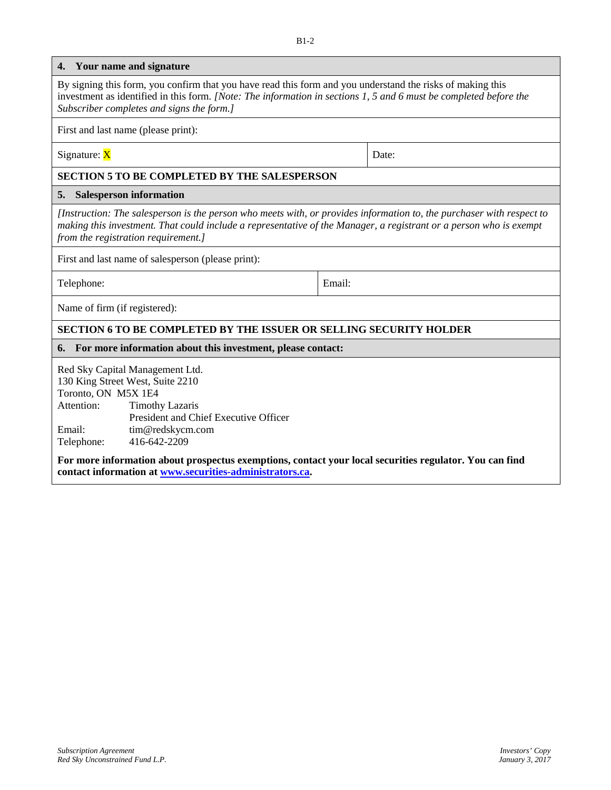| Your name and signature<br>4.                                                                                                                                                                                                                                                      |  |       |  |  |  |
|------------------------------------------------------------------------------------------------------------------------------------------------------------------------------------------------------------------------------------------------------------------------------------|--|-------|--|--|--|
| By signing this form, you confirm that you have read this form and you understand the risks of making this<br>investment as identified in this form. [Note: The information in sections 1, 5 and 6 must be completed before the<br>Subscriber completes and signs the form.]       |  |       |  |  |  |
| First and last name (please print):                                                                                                                                                                                                                                                |  |       |  |  |  |
| Signature: X                                                                                                                                                                                                                                                                       |  | Date: |  |  |  |
| <b>SECTION 5 TO BE COMPLETED BY THE SALESPERSON</b>                                                                                                                                                                                                                                |  |       |  |  |  |
| <b>Salesperson information</b><br>5.                                                                                                                                                                                                                                               |  |       |  |  |  |
| [Instruction: The salesperson is the person who meets with, or provides information to, the purchaser with respect to<br>making this investment. That could include a representative of the Manager, a registrant or a person who is exempt<br>from the registration requirement.] |  |       |  |  |  |
| First and last name of salesperson (please print):                                                                                                                                                                                                                                 |  |       |  |  |  |
| Telephone:<br>Email:                                                                                                                                                                                                                                                               |  |       |  |  |  |
| Name of firm (if registered):                                                                                                                                                                                                                                                      |  |       |  |  |  |
| <b>SECTION 6 TO BE COMPLETED BY THE ISSUER OR SELLING SECURITY HOLDER</b>                                                                                                                                                                                                          |  |       |  |  |  |
| For more information about this investment, please contact:<br>6.                                                                                                                                                                                                                  |  |       |  |  |  |
| Red Sky Capital Management Ltd.<br>130 King Street West, Suite 2210<br>Toronto, ON M5X 1E4<br>Attention:<br><b>Timothy Lazaris</b><br>President and Chief Executive Officer<br>Email:<br>tim@redskycm.com<br>416-642-2209<br>Telephone:                                            |  |       |  |  |  |
| For more information about prospectus exemptions, contact your local securities regulator. You can find<br>contact information at www.securities-administrators.ca.                                                                                                                |  |       |  |  |  |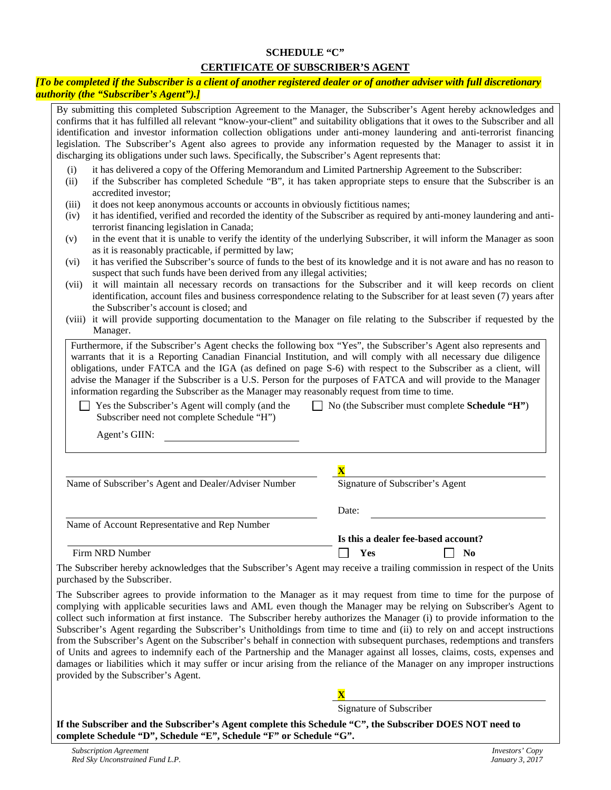# **SCHEDULE "C" CERTIFICATE OF SUBSCRIBER'S AGENT**

## *[To be completed if the Subscriber is a client of another registered dealer or of another adviser with full discretionary authority (the "Subscriber's Agent").]*

By submitting this completed Subscription Agreement to the Manager, the Subscriber's Agent hereby acknowledges and confirms that it has fulfilled all relevant "know-your-client" and suitability obligations that it owes to the Subscriber and all identification and investor information collection obligations under anti-money laundering and anti-terrorist financing legislation. The Subscriber's Agent also agrees to provide any information requested by the Manager to assist it in discharging its obligations under such laws. Specifically, the Subscriber's Agent represents that:

- (i) it has delivered a copy of the Offering Memorandum and Limited Partnership Agreement to the Subscriber:
- (ii) if the Subscriber has completed Schedule "B", it has taken appropriate steps to ensure that the Subscriber is an accredited investor;
- (iii) it does not keep anonymous accounts or accounts in obviously fictitious names;
- (iv) it has identified, verified and recorded the identity of the Subscriber as required by anti-money laundering and antiterrorist financing legislation in Canada;
- (v) in the event that it is unable to verify the identity of the underlying Subscriber, it will inform the Manager as soon as it is reasonably practicable, if permitted by law;
- (vi) it has verified the Subscriber's source of funds to the best of its knowledge and it is not aware and has no reason to suspect that such funds have been derived from any illegal activities;
- (vii) it will maintain all necessary records on transactions for the Subscriber and it will keep records on client identification, account files and business correspondence relating to the Subscriber for at least seven (7) years after the Subscriber's account is closed; and
- (viii) it will provide supporting documentation to the Manager on file relating to the Subscriber if requested by the Manager.

Furthermore, if the Subscriber's Agent checks the following box "Yes", the Subscriber's Agent also represents and warrants that it is a Reporting Canadian Financial Institution, and will comply with all necessary due diligence obligations, under FATCA and the IGA (as defined on page S-6) with respect to the Subscriber as a client, will advise the Manager if the Subscriber is a U.S. Person for the purposes of FATCA and will provide to the Manager information regarding the Subscriber as the Manager may reasonably request from time to time.

Yes the Subscriber's Agent will comply (and the Subscriber need not complete Schedule "H") No (the Subscriber must complete **Schedule "H"**)

Agent's GIIN:

| Name of Subscriber's Agent and Dealer/Adviser Number | Signature of Subscriber's Agent     |
|------------------------------------------------------|-------------------------------------|
|                                                      | Date:                               |
| Name of Account Representative and Rep Number        |                                     |
|                                                      | Is this a dealer fee-based account? |
| Firm NRD Number                                      | Yes<br>N <sub>0</sub>               |

The Subscriber hereby acknowledges that the Subscriber's Agent may receive a trailing commission in respect of the Units purchased by the Subscriber.

The Subscriber agrees to provide information to the Manager as it may request from time to time for the purpose of complying with applicable securities laws and AML even though the Manager may be relying on Subscriber's Agent to collect such information at first instance. The Subscriber hereby authorizes the Manager (i) to provide information to the Subscriber's Agent regarding the Subscriber's Unitholdings from time to time and (ii) to rely on and accept instructions from the Subscriber's Agent on the Subscriber's behalf in connection with subsequent purchases, redemptions and transfers of Units and agrees to indemnify each of the Partnership and the Manager against all losses, claims, costs, expenses and damages or liabilities which it may suffer or incur arising from the reliance of the Manager on any improper instructions provided by the Subscriber's Agent.

Signature of Subscriber

**X**

**If the Subscriber and the Subscriber's Agent complete this Schedule "C", the Subscriber DOES NOT need to complete Schedule "D", Schedule "E", Schedule "F" or Schedule "G".**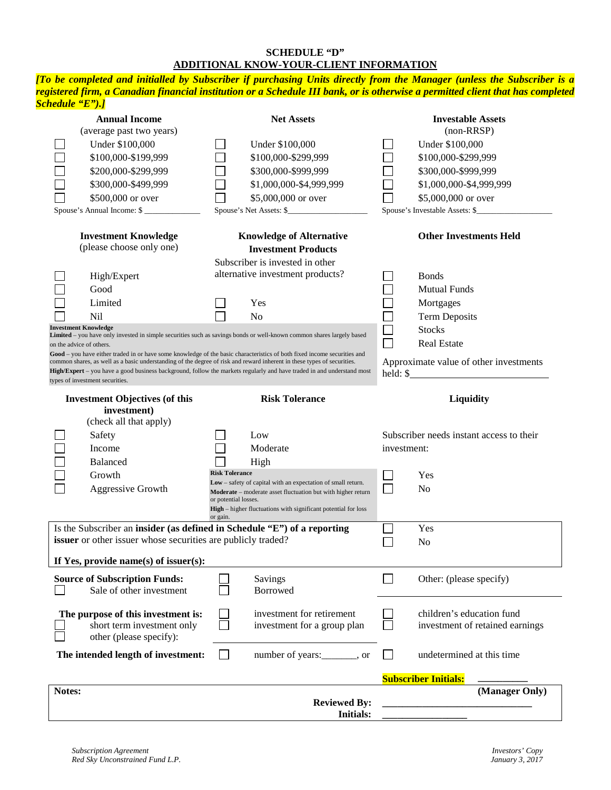# **SCHEDULE "D" ADDITIONAL KNOW-YOUR-CLIENT INFORMATION**

*[To be completed and initialled by Subscriber if purchasing Units directly from the Manager (unless the Subscriber is a registered firm, a Canadian financial institution or a Schedule III bank, or is otherwise a permitted client that has completed Schedule "E").]*

| <b>Annual Income</b><br>(average past two years)                                                                                                                                                                      | <b>Net Assets</b>                                                                                                                                                                                                                                                                                                                                                                    | <b>Investable Assets</b><br>$(non-RRSP)$                                                                                                           |
|-----------------------------------------------------------------------------------------------------------------------------------------------------------------------------------------------------------------------|--------------------------------------------------------------------------------------------------------------------------------------------------------------------------------------------------------------------------------------------------------------------------------------------------------------------------------------------------------------------------------------|----------------------------------------------------------------------------------------------------------------------------------------------------|
| Under \$100,000<br>\$100,000-\$199,999<br>\$200,000-\$299,999<br>\$300,000-\$499,999<br>\$500,000 or over<br>Spouse's Annual Income: \$                                                                               | Under \$100,000<br>\$100,000-\$299,999<br>\$300,000-\$999,999<br>\$1,000,000-\$4,999,999<br>\$5,000,000 or over<br>Spouse's Net Assets: \$                                                                                                                                                                                                                                           | Under \$100,000<br>\$100,000-\$299,999<br>\$300,000-\$999,999<br>\$1,000,000-\$4,999,999<br>\$5,000,000 or over<br>Spouse's Investable Assets: \$_ |
| <b>Investment Knowledge</b><br>(please choose only one)                                                                                                                                                               | <b>Knowledge of Alternative</b><br><b>Investment Products</b><br>Subscriber is invested in other                                                                                                                                                                                                                                                                                     | <b>Other Investments Held</b>                                                                                                                      |
| High/Expert<br>Good<br>Limited<br>Nil                                                                                                                                                                                 | alternative investment products?<br>Yes<br>N <sub>o</sub>                                                                                                                                                                                                                                                                                                                            | <b>Bonds</b><br><b>Mutual Funds</b><br>Mortgages<br><b>Term Deposits</b>                                                                           |
| <b>Investment Knowledge</b><br>on the advice of others.<br>common shares, as well as a basic understanding of the degree of risk and reward inherent in these types of securities.<br>types of investment securities. | Limited - you have only invested in simple securities such as savings bonds or well-known common shares largely based<br>Good – you have either traded in or have some knowledge of the basic characteristics of both fixed income securities and<br>$\text{High/Expert} -$ you have a good business background, follow the markets regularly and have traded in and understand most | <b>Stocks</b><br><b>Real Estate</b><br>Approximate value of other investments<br>$\text{held: } \$\$                                               |
| <b>Investment Objectives (of this</b><br>investment)                                                                                                                                                                  | <b>Risk Tolerance</b>                                                                                                                                                                                                                                                                                                                                                                | Liquidity                                                                                                                                          |
| (check all that apply)<br>Safety<br>Income<br><b>Balanced</b><br>Growth<br>Aggressive Growth                                                                                                                          | Low<br>Moderate<br>High<br><b>Risk Tolerance</b><br>Low - safety of capital with an expectation of small return.<br>Moderate - moderate asset fluctuation but with higher return<br>or potential losses.<br>High – higher fluctuations with significant potential for loss<br>or gain.                                                                                               | Subscriber needs instant access to their<br>investment:<br>Yes<br>N <sub>o</sub>                                                                   |
| Is the Subscriber an insider (as defined in Schedule "E") of a reporting<br>issuer or other issuer whose securities are publicly traded?                                                                              |                                                                                                                                                                                                                                                                                                                                                                                      | Yes<br>No                                                                                                                                          |
| If Yes, provide name(s) of issuer(s):<br><b>Source of Subscription Funds:</b><br>Sale of other investment                                                                                                             | Savings<br><b>Borrowed</b>                                                                                                                                                                                                                                                                                                                                                           | Other: (please specify)                                                                                                                            |
| The purpose of this investment is:<br>short term investment only<br>other (please specify):                                                                                                                           | investment for retirement<br>investment for a group plan                                                                                                                                                                                                                                                                                                                             | children's education fund<br>investment of retained earnings                                                                                       |
| The intended length of investment:                                                                                                                                                                                    | $\Box$<br>number of years: _______, or                                                                                                                                                                                                                                                                                                                                               | undetermined at this time<br>$\overline{\phantom{a}}$                                                                                              |
|                                                                                                                                                                                                                       |                                                                                                                                                                                                                                                                                                                                                                                      | <b>Subscriber Initials:</b>                                                                                                                        |
| Notes:                                                                                                                                                                                                                | <b>Reviewed By:</b><br><b>Initials:</b>                                                                                                                                                                                                                                                                                                                                              | (Manager Only)                                                                                                                                     |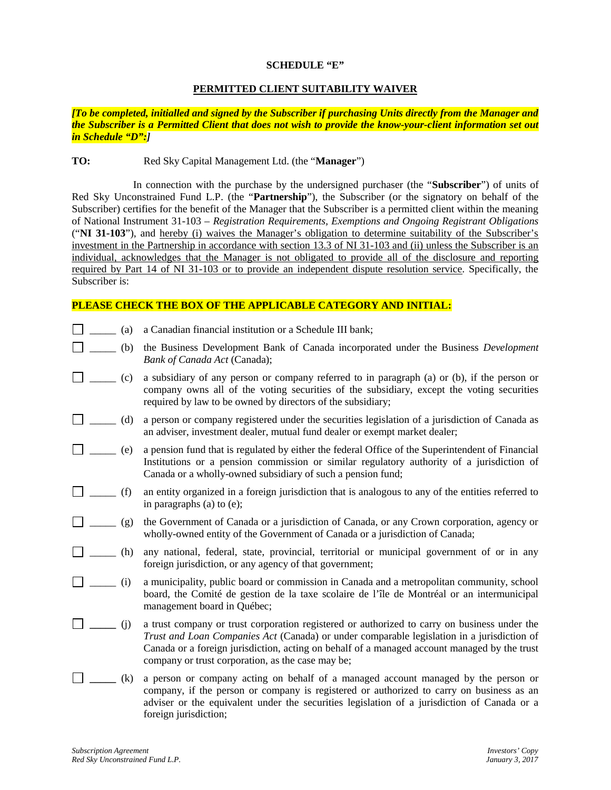## **SCHEDULE "E"**

#### **PERMITTED CLIENT SUITABILITY WAIVER**

*[To be completed, initialled and signed by the Subscriber if purchasing Units directly from the Manager and the Subscriber is a Permitted Client that does not wish to provide the know-your-client information set out in Schedule "D":]*

#### **TO:** Red Sky Capital Management Ltd. (the "**Manager**")

In connection with the purchase by the undersigned purchaser (the "**Subscriber**") of units of Red Sky Unconstrained Fund L.P. (the "**Partnership**"), the Subscriber (or the signatory on behalf of the Subscriber) certifies for the benefit of the Manager that the Subscriber is a permitted client within the meaning of National Instrument 31-103 – *Registration Requirements, Exemptions and Ongoing Registrant Obligations* ("**NI 31-103**"), and hereby (i) waives the Manager's obligation to determine suitability of the Subscriber's investment in the Partnership in accordance with section 13.3 of NI 31-103 and (ii) unless the Subscriber is an individual, acknowledges that the Manager is not obligated to provide all of the disclosure and reporting required by Part 14 of NI 31-103 or to provide an independent dispute resolution service. Specifically, the Subscriber is:

#### **PLEASE CHECK THE BOX OF THE APPLICABLE CATEGORY AND INITIAL:**

- \_\_\_\_\_ (a) a Canadian financial institution or a Schedule III bank;
- \_\_\_\_\_ (b) the Business Development Bank of Canada incorporated under the Business *Development Bank of Canada Act* (Canada);
- $\Box$   $\Box$  (c) a subsidiary of any person or company referred to in paragraph (a) or (b), if the person or company owns all of the voting securities of the subsidiary, except the voting securities required by law to be owned by directors of the subsidiary;
- $\Box$  (d) a person or company registered under the securities legislation of a jurisdiction of Canada as an adviser, investment dealer, mutual fund dealer or exempt market dealer;
- $\Box$  (e) a pension fund that is regulated by either the federal Office of the Superintendent of Financial Institutions or a pension commission or similar regulatory authority of a jurisdiction of Canada or a wholly-owned subsidiary of such a pension fund;
- $\Box$  (f) an entity organized in a foreign jurisdiction that is analogous to any of the entities referred to in paragraphs (a) to (e);
- \_\_\_\_\_ (g) the Government of Canada or a jurisdiction of Canada, or any Crown corporation, agency or wholly-owned entity of the Government of Canada or a jurisdiction of Canada;
- $\Box$  \_\_\_\_\_\_ (h) any national, federal, state, provincial, territorial or municipal government of or in any foreign jurisdiction, or any agency of that government;
- \_\_\_\_\_ (i) a municipality, public board or commission in Canada and a metropolitan community, school board, the Comité de gestion de la taxe scolaire de l'île de Montréal or an intermunicipal management board in Québec;
- **\_\_\_\_\_** (j) a trust company or trust corporation registered or authorized to carry on business under the *Trust and Loan Companies Act* (Canada) or under comparable legislation in a jurisdiction of Canada or a foreign jurisdiction, acting on behalf of a managed account managed by the trust company or trust corporation, as the case may be;
- **\_\_\_\_\_** (k) a person or company acting on behalf of a managed account managed by the person or company, if the person or company is registered or authorized to carry on business as an adviser or the equivalent under the securities legislation of a jurisdiction of Canada or a foreign jurisdiction;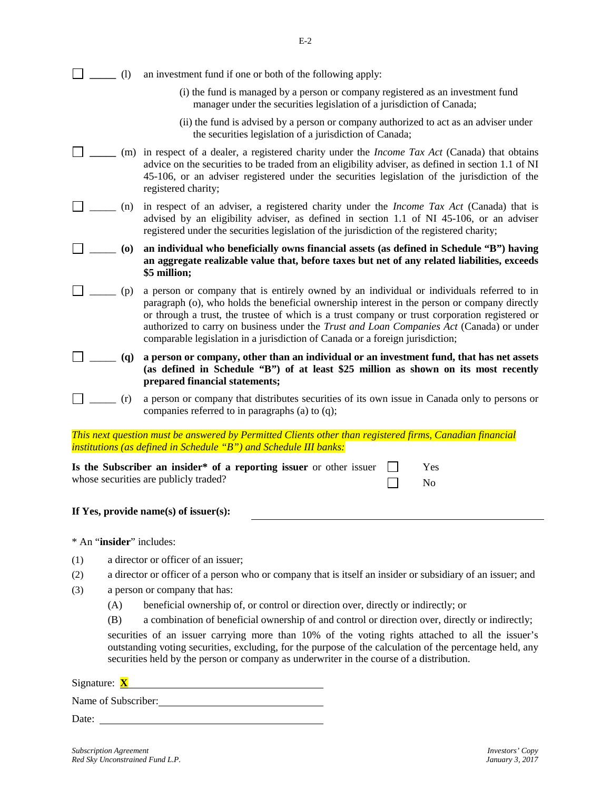|  |  | an investment fund if one or both of the following apply: |  |
|--|--|-----------------------------------------------------------|--|
|--|--|-----------------------------------------------------------|--|

- (i) the fund is managed by a person or company registered as an investment fund manager under the securities legislation of a jurisdiction of Canada;
- (ii) the fund is advised by a person or company authorized to act as an adviser under the securities legislation of a jurisdiction of Canada;
- **\_\_\_\_\_** (m) in respect of a dealer, a registered charity under the *Income Tax Act* (Canada) that obtains advice on the securities to be traded from an eligibility adviser, as defined in section 1.1 of NI 45-106, or an adviser registered under the securities legislation of the jurisdiction of the registered charity;
- \_\_\_\_\_ (n) in respect of an adviser, a registered charity under the *Income Tax Act* (Canada) that is advised by an eligibility adviser, as defined in section 1.1 of NI 45-106, or an adviser registered under the securities legislation of the jurisdiction of the registered charity;
- \_\_\_\_\_ **(o) an individual who beneficially owns financial assets (as defined in Schedule "B") having an aggregate realizable value that, before taxes but net of any related liabilities, exceeds \$5 million;**
- $\Box$  \_\_\_\_\_ (p) a person or company that is entirely owned by an individual or individuals referred to in paragraph (o), who holds the beneficial ownership interest in the person or company directly or through a trust, the trustee of which is a trust company or trust corporation registered or authorized to carry on business under the *Trust and Loan Companies Act* (Canada) or under comparable legislation in a jurisdiction of Canada or a foreign jurisdiction;
- \_\_\_\_\_ **(q) a person or company, other than an individual or an investment fund, that has net assets (as defined in Schedule "B") of at least \$25 million as shown on its most recently prepared financial statements;**
- $\Box$   $\Box$  (r) a person or company that distributes securities of its own issue in Canada only to persons or companies referred to in paragraphs (a) to (q);

*This next question must be answered by Permitted Clients other than registered firms, Canadian financial institutions (as defined in Schedule "B") and Schedule III banks:*

| Is the Subscriber an insider <sup>*</sup> of a reporting issuer or other issuer | Yes                    |
|---------------------------------------------------------------------------------|------------------------|
| whose securities are publicly traded?                                           | $\mathbf{N}\mathbf{o}$ |

# **If Yes, provide name(s) of issuer(s):**

\* An "**insider**" includes:

- (1) a director or officer of an issuer;
- (2) a director or officer of a person who or company that is itself an insider or subsidiary of an issuer; and
- (3) a person or company that has:
	- (A) beneficial ownership of, or control or direction over, directly or indirectly; or
	- (B) a combination of beneficial ownership of and control or direction over, directly or indirectly;

securities of an issuer carrying more than 10% of the voting rights attached to all the issuer's outstanding voting securities, excluding, for the purpose of the calculation of the percentage held, any securities held by the person or company as underwriter in the course of a distribution.

| Signature: $\underline{\mathbf{X}}$ |  |
|-------------------------------------|--|
| Name of Subscriber:                 |  |

Date:

 $\Box$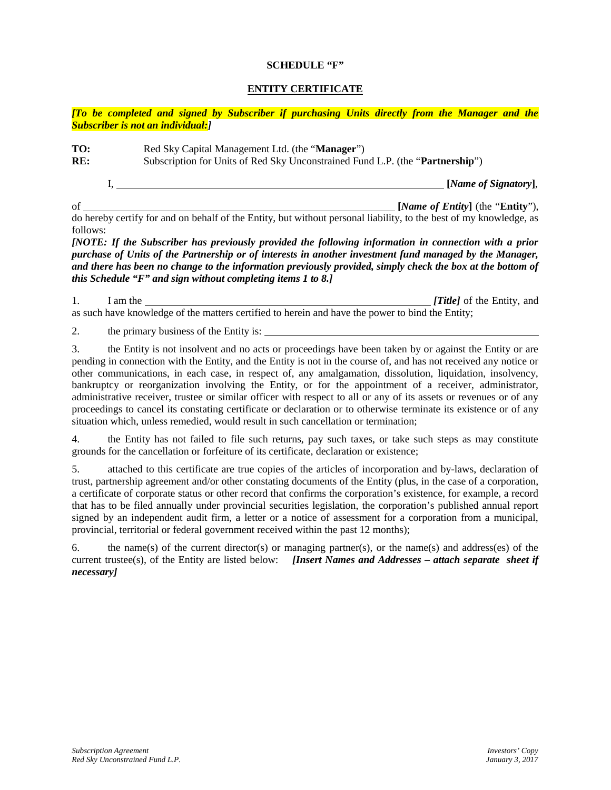### **SCHEDULE "F"**

# **ENTITY CERTIFICATE**

*[To be completed and signed by Subscriber if purchasing Units directly from the Manager and the Subscriber is not an individual:]*

**TO:** Red Sky Capital Management Ltd. (the "**Manager**") **RE:** Subscription for Units of Red Sky Unconstrained Fund L.P. (the "**Partnership**")

I, **[***Name of Signatory***]**,

of **[***Name of Entity***]** (the "**Entity**"), do hereby certify for and on behalf of the Entity, but without personal liability, to the best of my knowledge, as follows:

*[NOTE: If the Subscriber has previously provided the following information in connection with a prior purchase of Units of the Partnership or of interests in another investment fund managed by the Manager, and there has been no change to the information previously provided, simply check the box at the bottom of this Schedule "F" and sign without completing items 1 to 8.]*

| I am the | [Title] of the Entity, and                                                                       |
|----------|--------------------------------------------------------------------------------------------------|
|          | as such have knowledge of the matters certified to herein and have the power to bind the Entity; |

2. the primary business of the Entity is:

3. the Entity is not insolvent and no acts or proceedings have been taken by or against the Entity or are pending in connection with the Entity, and the Entity is not in the course of, and has not received any notice or other communications, in each case, in respect of, any amalgamation, dissolution, liquidation, insolvency, bankruptcy or reorganization involving the Entity, or for the appointment of a receiver, administrator, administrative receiver, trustee or similar officer with respect to all or any of its assets or revenues or of any proceedings to cancel its constating certificate or declaration or to otherwise terminate its existence or of any situation which, unless remedied, would result in such cancellation or termination;

4. the Entity has not failed to file such returns, pay such taxes, or take such steps as may constitute grounds for the cancellation or forfeiture of its certificate, declaration or existence;

5. attached to this certificate are true copies of the articles of incorporation and by-laws, declaration of trust, partnership agreement and/or other constating documents of the Entity (plus, in the case of a corporation, a certificate of corporate status or other record that confirms the corporation's existence, for example, a record that has to be filed annually under provincial securities legislation, the corporation's published annual report signed by an independent audit firm, a letter or a notice of assessment for a corporation from a municipal, provincial, territorial or federal government received within the past 12 months);

6. the name(s) of the current director(s) or managing partner(s), or the name(s) and address(es) of the current trustee(s), of the Entity are listed below: *[Insert Names and Addresses – attach separate sheet if necessary]*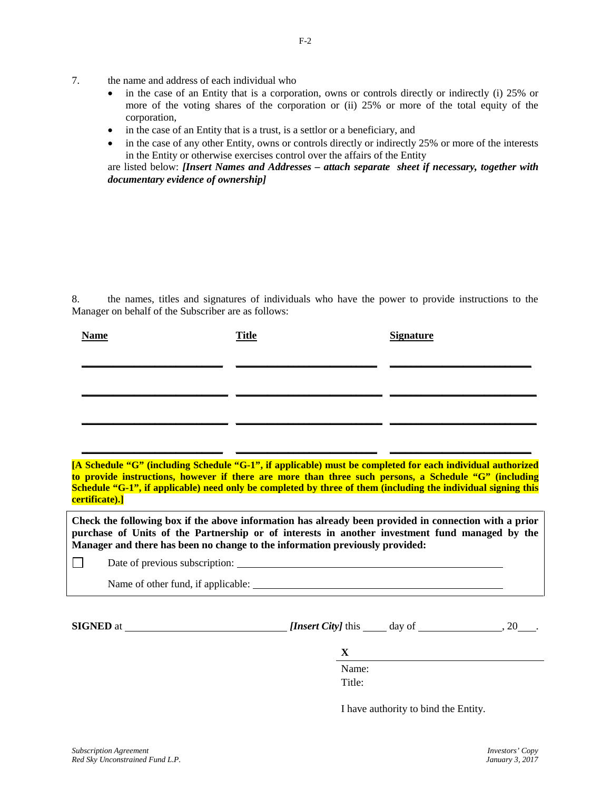- 7. the name and address of each individual who
	- in the case of an Entity that is a corporation, owns or controls directly or indirectly (i) 25% or more of the voting shares of the corporation or (ii) 25% or more of the total equity of the corporation,
	- in the case of an Entity that is a trust, is a settlor or a beneficiary, and
	- in the case of any other Entity, owns or controls directly or indirectly 25% or more of the interests in the Entity or otherwise exercises control over the affairs of the Entity

are listed below: *[Insert Names and Addresses – attach separate sheet if necessary, together with documentary evidence of ownership]*

8. the names, titles and signatures of individuals who have the power to provide instructions to the Manager on behalf of the Subscriber are as follows:

| <b>Name</b> | <b>Title</b> | <b>Signature</b> |
|-------------|--------------|------------------|
|             |              |                  |
|             |              |                  |
|             |              |                  |
|             |              |                  |

**[A Schedule "G" (including Schedule "G-1", if applicable) must be completed for each individual authorized to provide instructions, however if there are more than three such persons, a Schedule "G" (including Schedule "G-1", if applicable) need only be completed by three of them (including the individual signing this certificate).]**

**\_\_\_\_\_\_\_\_\_\_\_\_\_\_\_\_\_\_\_\_\_\_\_\_\_\_\_ \_\_\_\_\_\_\_\_\_\_\_\_\_\_\_\_\_\_\_\_\_\_\_\_\_\_\_ \_\_\_\_\_\_\_\_\_\_\_\_\_\_\_\_\_\_\_\_\_\_\_\_\_\_\_**

**Check the following box if the above information has already been provided in connection with a prior purchase of Units of the Partnership or of interests in another investment fund managed by the Manager and there has been no change to the information previously provided:**

Date of previous subscription:

Name of other fund, if applicable:

 $\Box$ 

**SIGNED** at  $\frac{[Insert\,City]}{[Insert\,City]}$  this  $\frac{day}{dy}$  of  $\frac{20}{x}$ .

**X** Name:

Title<sup>.</sup>

I have authority to bind the Entity.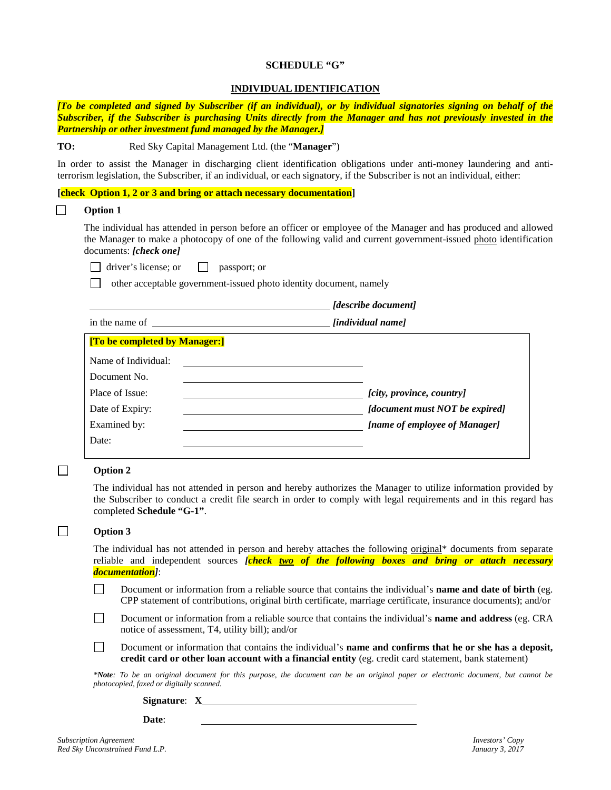#### **SCHEDULE "G"**

### **INDIVIDUAL IDENTIFICATION**

*[To be completed and signed by Subscriber (if an individual), or by individual signatories signing on behalf of the Subscriber, if the Subscriber is purchasing Units directly from the Manager and has not previously invested in the Partnership or other investment fund managed by the Manager.]*

**TO:** Red Sky Capital Management Ltd. (the "**Manager**")

In order to assist the Manager in discharging client identification obligations under anti-money laundering and antiterrorism legislation, the Subscriber, if an individual, or each signatory, if the Subscriber is not an individual, either:

|  |  |  | [check Option 1, 2 or 3 and bring or attach necessary documentation] |  |
|--|--|--|----------------------------------------------------------------------|--|
|  |  |  |                                                                      |  |

 $\Box$ **Option 1**

> The individual has attended in person before an officer or employee of the Manager and has produced and allowed the Manager to make a photocopy of one of the following valid and current government-issued photo identification documents: *[check one]*

|  | driver's license; or | passport; or |
|--|----------------------|--------------|
|--|----------------------|--------------|

 $\Box$ other acceptable government-issued photo identity document, namely

|                               | [describe document]            |
|-------------------------------|--------------------------------|
| in the name of                | [individual name]              |
| [To be completed by Manager:] |                                |
| Name of Individual:           |                                |
| Document No.                  |                                |
| Place of Issue:               | [city, province, country]      |
| Date of Expiry:               | [document must NOT be expired] |
| Examined by:                  | [name of employee of Manager]  |
| Date:                         |                                |
|                               |                                |

#### **Option 2**

 $\Box$ 

 $\Box$ 

The individual has not attended in person and hereby authorizes the Manager to utilize information provided by the Subscriber to conduct a credit file search in order to comply with legal requirements and in this regard has completed **Schedule "G-1"**.

#### **Option 3**

The individual has not attended in person and hereby attaches the following original\* documents from separate reliable and independent sources *[check two of the following boxes and bring or attach necessary documentation]*:

 $\Box$ Document or information from a reliable source that contains the individual's **name and date of birth** (eg. CPP statement of contributions, original birth certificate, marriage certificate, insurance documents); and/or

 $\Box$ Document or information from a reliable source that contains the individual's **name and address** (eg. CRA notice of assessment, T4, utility bill); and/or

 $\Box$ Document or information that contains the individual's **name and confirms that he or she has a deposit, credit card or other loan account with a financial entity** (eg. credit card statement, bank statement)

*\*Note: To be an original document for this purpose, the document can be an original paper or electronic document, but cannot be photocopied, faxed or digitally scanned.*

**Signature**: **X**

**Date**: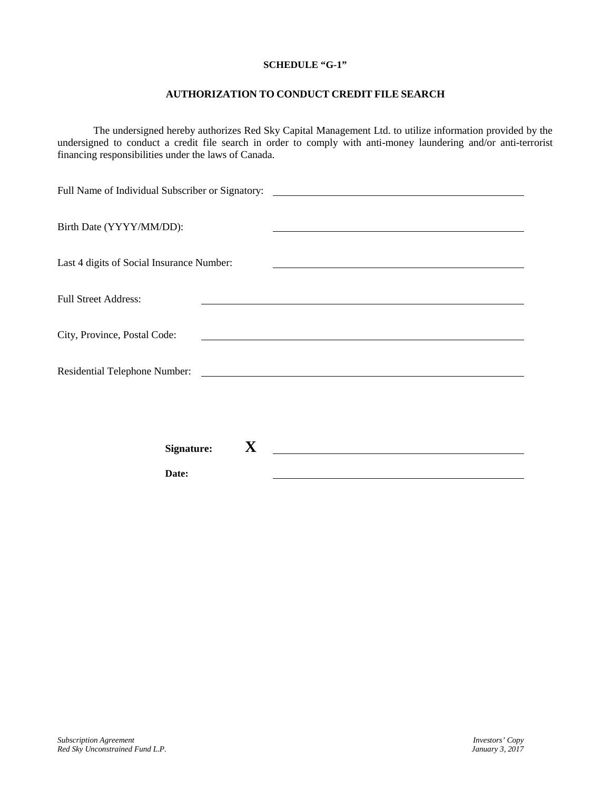### **SCHEDULE "G-1"**

# **AUTHORIZATION TO CONDUCT CREDIT FILE SEARCH**

The undersigned hereby authorizes Red Sky Capital Management Ltd. to utilize information provided by the undersigned to conduct a credit file search in order to comply with anti-money laundering and/or anti-terrorist financing responsibilities under the laws of Canada.

| Full Name of Individual Subscriber or Signatory: ________________________________                                                                 |
|---------------------------------------------------------------------------------------------------------------------------------------------------|
|                                                                                                                                                   |
|                                                                                                                                                   |
| Birth Date (YYYY/MM/DD):<br><u> 1989 - Johann Barbara, martin amerikan basar dan berasal dan berasal dalam basar dalam basar dalam basar dala</u> |
|                                                                                                                                                   |
| Last 4 digits of Social Insurance Number:<br><u> 1980 - Jan James Barnett, fransk politik (d. 1980)</u>                                           |
|                                                                                                                                                   |
|                                                                                                                                                   |
| <b>Full Street Address:</b>                                                                                                                       |
|                                                                                                                                                   |
| City, Province, Postal Code:                                                                                                                      |
|                                                                                                                                                   |
|                                                                                                                                                   |
|                                                                                                                                                   |
|                                                                                                                                                   |
|                                                                                                                                                   |
|                                                                                                                                                   |
|                                                                                                                                                   |
| X<br><b>Signature:</b><br><u> 1989 - Johann Barbara, martxa alemaniar a</u>                                                                       |
|                                                                                                                                                   |
| Date:                                                                                                                                             |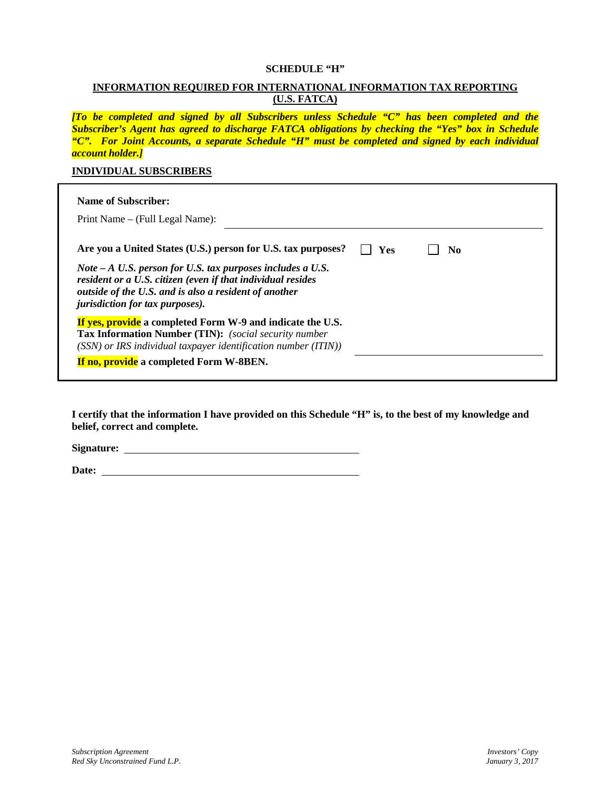## **SCHEDULE "H"**

# **INFORMATION REQUIRED FOR INTERNATIONAL INFORMATION TAX REPORTING (U.S. FATCA)**

*[To be completed and signed by all Subscribers unless Schedule "C" has been completed and the Subscriber's Agent has agreed to discharge FATCA obligations by checking the "Yes" box in Schedule "C". For Joint Accounts, a separate Schedule "H" must be completed and signed by each individual account holder.]*

## **INDIVIDUAL SUBSCRIBERS**

| <b>Name of Subscriber:</b><br>Print Name – (Full Legal Name):                                                                                                                                                                                                                                 |     |     |  |
|-----------------------------------------------------------------------------------------------------------------------------------------------------------------------------------------------------------------------------------------------------------------------------------------------|-----|-----|--|
| Are you a United States (U.S.) person for U.S. tax purposes?<br>Note $-A$ U.S. person for U.S. tax purposes includes a U.S.<br>resident or a U.S. citizen (even if that individual resides<br>outside of the U.S. and is also a resident of another<br><i>jurisdiction for tax purposes).</i> | Yes | No. |  |
| If yes, provide a completed Form W-9 and indicate the U.S.<br><b>Tax Information Number (TIN):</b> (social security number<br>(SSN) or IRS individual taxpayer identification number (ITIN))<br>If no, provide a completed Form W-8BEN.                                                       |     |     |  |

**I certify that the information I have provided on this Schedule "H" is, to the best of my knowledge and belief, correct and complete.**

**Signature:**

**Date:**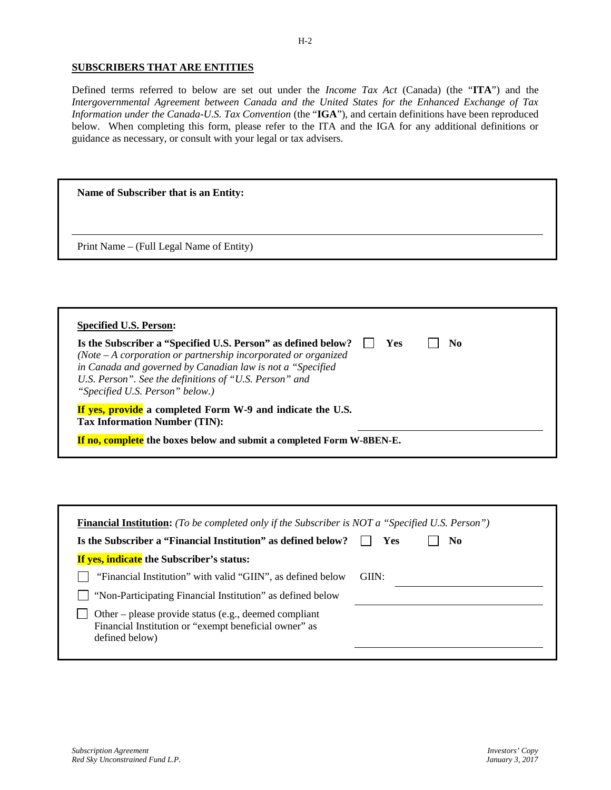### **SUBSCRIBERS THAT ARE ENTITIES**

Defined terms referred to below are set out under the *Income Tax Act* (Canada) (the "**ITA**") and the *Intergovernmental Agreement between Canada and the United States for the Enhanced Exchange of Tax Information under the Canada-U.S. Tax Convention* (the "**IGA**"), and certain definitions have been reproduced below. When completing this form, please refer to the ITA and the IGA for any additional definitions or guidance as necessary, or consult with your legal or tax advisers.

| Name of Subscriber that is an Entity:    |  |  |
|------------------------------------------|--|--|
| Print Name – (Full Legal Name of Entity) |  |  |

| Is the Subscriber a "Specified U.S. Person" as defined below?<br>(Note $-A$ corporation or partnership incorporated or organized<br>in Canada and governed by Canadian law is not a "Specified"<br>U.S. Person". See the definitions of "U.S. Person" and<br>"Specified U.S. Person" below.) | Yes | No. |  |
|----------------------------------------------------------------------------------------------------------------------------------------------------------------------------------------------------------------------------------------------------------------------------------------------|-----|-----|--|
| If yes, provide a completed Form W-9 and indicate the U.S.<br><b>Tax Information Number (TIN):</b>                                                                                                                                                                                           |     |     |  |

| Is the Subscriber a "Financial Institution" as defined below?                                                                    | <b>Yes</b> | No. |
|----------------------------------------------------------------------------------------------------------------------------------|------------|-----|
| <b>If yes, indicate</b> the Subscriber's status:                                                                                 |            |     |
| "Financial Institution" with valid "GIIN", as defined below                                                                      | GIIN:      |     |
| "Non-Participating Financial Institution" as defined below                                                                       |            |     |
| Other – please provide status (e.g., deemed compliant<br>Financial Institution or "exempt beneficial owner" as<br>defined below) |            |     |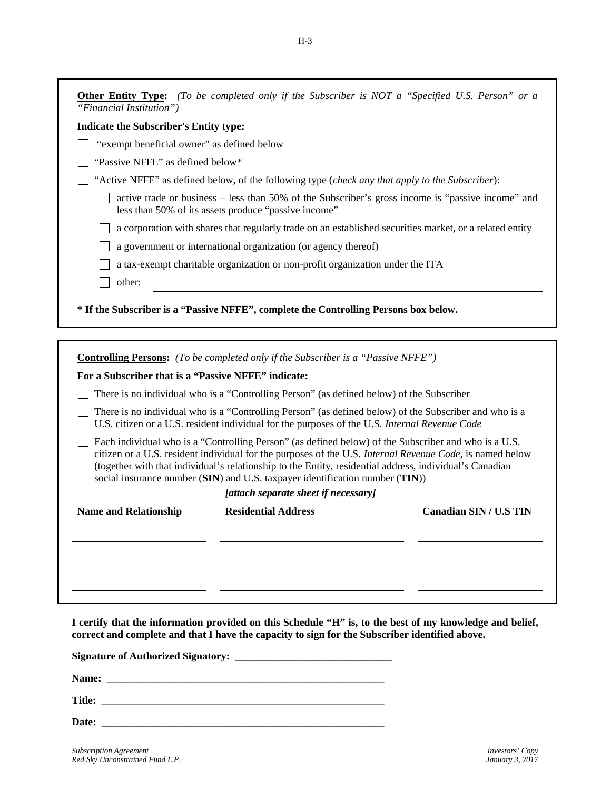| <b>Indicate the Subscriber's Entity type:</b><br>"exempt beneficial owner" as defined below<br>"Passive NFFE" as defined below* | "Active NFFE" as defined below, of the following type (check any that apply to the Subscriber):<br>active trade or business – less than 50% of the Subscriber's gross income is "passive income" and<br>less than 50% of its assets produce "passive income"                                                                                                                                                |
|---------------------------------------------------------------------------------------------------------------------------------|-------------------------------------------------------------------------------------------------------------------------------------------------------------------------------------------------------------------------------------------------------------------------------------------------------------------------------------------------------------------------------------------------------------|
|                                                                                                                                 |                                                                                                                                                                                                                                                                                                                                                                                                             |
|                                                                                                                                 |                                                                                                                                                                                                                                                                                                                                                                                                             |
|                                                                                                                                 |                                                                                                                                                                                                                                                                                                                                                                                                             |
|                                                                                                                                 |                                                                                                                                                                                                                                                                                                                                                                                                             |
|                                                                                                                                 |                                                                                                                                                                                                                                                                                                                                                                                                             |
|                                                                                                                                 | a corporation with shares that regularly trade on an established securities market, or a related entity                                                                                                                                                                                                                                                                                                     |
|                                                                                                                                 | a government or international organization (or agency thereof)                                                                                                                                                                                                                                                                                                                                              |
|                                                                                                                                 | a tax-exempt charitable organization or non-profit organization under the ITA                                                                                                                                                                                                                                                                                                                               |
| other:                                                                                                                          |                                                                                                                                                                                                                                                                                                                                                                                                             |
| For a Subscriber that is a "Passive NFFE" indicate:                                                                             |                                                                                                                                                                                                                                                                                                                                                                                                             |
|                                                                                                                                 |                                                                                                                                                                                                                                                                                                                                                                                                             |
|                                                                                                                                 | There is no individual who is a "Controlling Person" (as defined below) of the Subscriber                                                                                                                                                                                                                                                                                                                   |
|                                                                                                                                 | There is no individual who is a "Controlling Person" (as defined below) of the Subscriber and who is a<br>U.S. citizen or a U.S. resident individual for the purposes of the U.S. Internal Revenue Code                                                                                                                                                                                                     |
|                                                                                                                                 | Each individual who is a "Controlling Person" (as defined below) of the Subscriber and who is a U.S.<br>citizen or a U.S. resident individual for the purposes of the U.S. Internal Revenue Code, is named below<br>(together with that individual's relationship to the Entity, residential address, individual's Canadian<br>social insurance number (SIN) and U.S. taxpayer identification number (TIN)) |
|                                                                                                                                 | [attach separate sheet if necessary]                                                                                                                                                                                                                                                                                                                                                                        |

**I certify that the information provided on this Schedule "H" is, to the best of my knowledge and belief, correct and complete and that I have the capacity to sign for the Subscriber identified above.**

**Signature of Authorized Signatory:** \_\_\_\_\_\_\_\_\_\_\_\_\_\_\_\_\_\_\_\_\_\_\_\_\_\_\_\_\_\_

**Name:** \_\_\_\_\_\_\_\_\_\_\_\_\_\_\_\_\_\_\_\_\_\_\_\_\_\_\_\_\_\_\_\_\_\_\_\_\_\_\_\_\_\_\_\_\_\_\_\_\_\_\_\_\_

**Title:** \_\_\_\_\_\_\_\_\_\_\_\_\_\_\_\_\_\_\_\_\_\_\_\_\_\_\_\_\_\_\_\_\_\_\_\_\_\_\_\_\_\_\_\_\_\_\_\_\_\_\_\_\_\_

**Date:** \_\_\_\_\_\_\_\_\_\_\_\_\_\_\_\_\_\_\_\_\_\_\_\_\_\_\_\_\_\_\_\_\_\_\_\_\_\_\_\_\_\_\_\_\_\_\_\_\_\_\_\_\_\_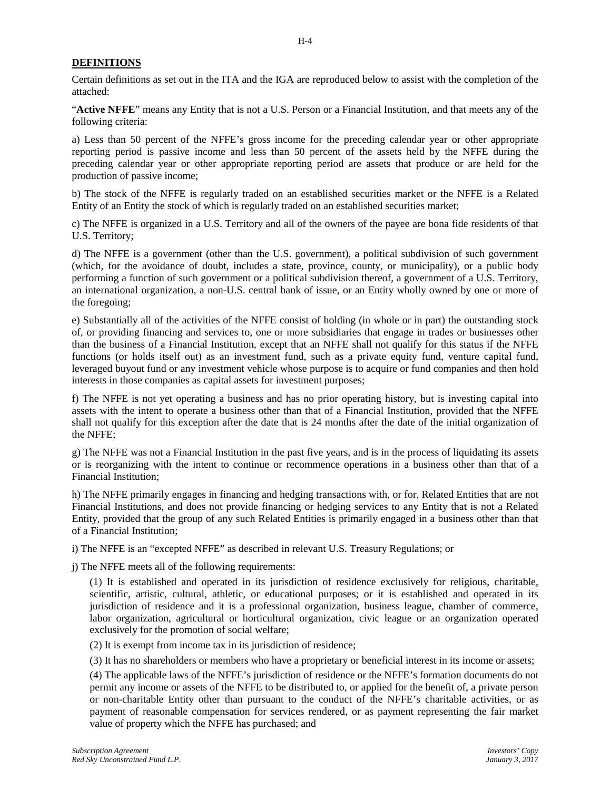### **DEFINITIONS**

Certain definitions as set out in the ITA and the IGA are reproduced below to assist with the completion of the attached:

"**Active NFFE**" means any Entity that is not a U.S. Person or a Financial Institution, and that meets any of the following criteria:

a) Less than 50 percent of the NFFE's gross income for the preceding calendar year or other appropriate reporting period is passive income and less than 50 percent of the assets held by the NFFE during the preceding calendar year or other appropriate reporting period are assets that produce or are held for the production of passive income;

b) The stock of the NFFE is regularly traded on an established securities market or the NFFE is a Related Entity of an Entity the stock of which is regularly traded on an established securities market;

c) The NFFE is organized in a U.S. Territory and all of the owners of the payee are bona fide residents of that U.S. Territory;

d) The NFFE is a government (other than the U.S. government), a political subdivision of such government (which, for the avoidance of doubt, includes a state, province, county, or municipality), or a public body performing a function of such government or a political subdivision thereof, a government of a U.S. Territory, an international organization, a non-U.S. central bank of issue, or an Entity wholly owned by one or more of the foregoing;

e) Substantially all of the activities of the NFFE consist of holding (in whole or in part) the outstanding stock of, or providing financing and services to, one or more subsidiaries that engage in trades or businesses other than the business of a Financial Institution, except that an NFFE shall not qualify for this status if the NFFE functions (or holds itself out) as an investment fund, such as a private equity fund, venture capital fund, leveraged buyout fund or any investment vehicle whose purpose is to acquire or fund companies and then hold interests in those companies as capital assets for investment purposes;

f) The NFFE is not yet operating a business and has no prior operating history, but is investing capital into assets with the intent to operate a business other than that of a Financial Institution, provided that the NFFE shall not qualify for this exception after the date that is 24 months after the date of the initial organization of the NFFE;

g) The NFFE was not a Financial Institution in the past five years, and is in the process of liquidating its assets or is reorganizing with the intent to continue or recommence operations in a business other than that of a Financial Institution;

h) The NFFE primarily engages in financing and hedging transactions with, or for, Related Entities that are not Financial Institutions, and does not provide financing or hedging services to any Entity that is not a Related Entity, provided that the group of any such Related Entities is primarily engaged in a business other than that of a Financial Institution;

i) The NFFE is an "excepted NFFE" as described in relevant U.S. Treasury Regulations; or

j) The NFFE meets all of the following requirements:

(1) It is established and operated in its jurisdiction of residence exclusively for religious, charitable, scientific, artistic, cultural, athletic, or educational purposes; or it is established and operated in its jurisdiction of residence and it is a professional organization, business league, chamber of commerce, labor organization, agricultural or horticultural organization, civic league or an organization operated exclusively for the promotion of social welfare;

(2) It is exempt from income tax in its jurisdiction of residence;

(3) It has no shareholders or members who have a proprietary or beneficial interest in its income or assets;

(4) The applicable laws of the NFFE's jurisdiction of residence or the NFFE's formation documents do not permit any income or assets of the NFFE to be distributed to, or applied for the benefit of, a private person or non-charitable Entity other than pursuant to the conduct of the NFFE's charitable activities, or as payment of reasonable compensation for services rendered, or as payment representing the fair market value of property which the NFFE has purchased; and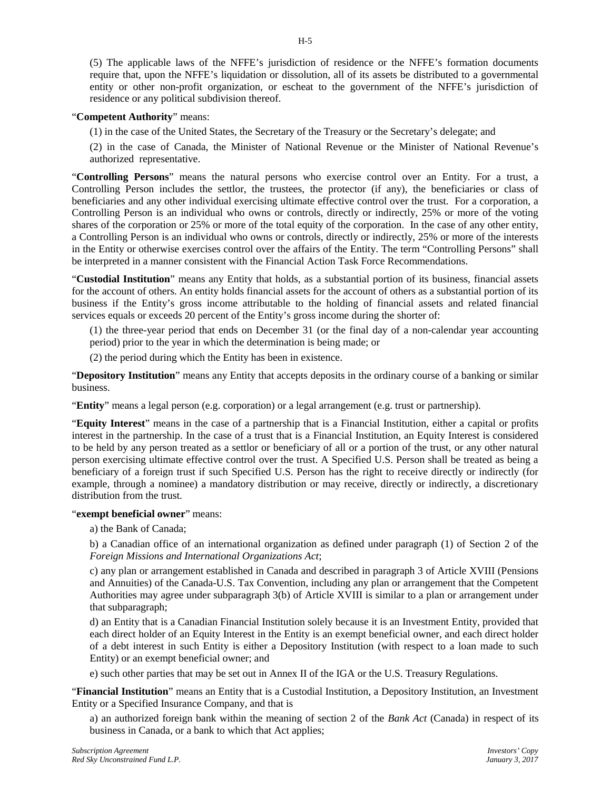(5) The applicable laws of the NFFE's jurisdiction of residence or the NFFE's formation documents require that, upon the NFFE's liquidation or dissolution, all of its assets be distributed to a governmental entity or other non-profit organization, or escheat to the government of the NFFE's jurisdiction of residence or any political subdivision thereof.

#### "**Competent Authority**" means:

(1) in the case of the United States, the Secretary of the Treasury or the Secretary's delegate; and

(2) in the case of Canada, the Minister of National Revenue or the Minister of National Revenue's authorized representative.

"**Controlling Persons**" means the natural persons who exercise control over an Entity. For a trust, a Controlling Person includes the settlor, the trustees, the protector (if any), the beneficiaries or class of beneficiaries and any other individual exercising ultimate effective control over the trust. For a corporation, a Controlling Person is an individual who owns or controls, directly or indirectly, 25% or more of the voting shares of the corporation or 25% or more of the total equity of the corporation. In the case of any other entity, a Controlling Person is an individual who owns or controls, directly or indirectly, 25% or more of the interests in the Entity or otherwise exercises control over the affairs of the Entity. The term "Controlling Persons" shall be interpreted in a manner consistent with the Financial Action Task Force Recommendations.

"**Custodial Institution**" means any Entity that holds, as a substantial portion of its business, financial assets for the account of others. An entity holds financial assets for the account of others as a substantial portion of its business if the Entity's gross income attributable to the holding of financial assets and related financial services equals or exceeds 20 percent of the Entity's gross income during the shorter of:

(1) the three-year period that ends on December 31 (or the final day of a non-calendar year accounting period) prior to the year in which the determination is being made; or

(2) the period during which the Entity has been in existence.

"**Depository Institution**" means any Entity that accepts deposits in the ordinary course of a banking or similar business.

"**Entity**" means a legal person (e.g. corporation) or a legal arrangement (e.g. trust or partnership).

"**Equity Interest**" means in the case of a partnership that is a Financial Institution, either a capital or profits interest in the partnership. In the case of a trust that is a Financial Institution, an Equity Interest is considered to be held by any person treated as a settlor or beneficiary of all or a portion of the trust, or any other natural person exercising ultimate effective control over the trust. A Specified U.S. Person shall be treated as being a beneficiary of a foreign trust if such Specified U.S. Person has the right to receive directly or indirectly (for example, through a nominee) a mandatory distribution or may receive, directly or indirectly, a discretionary distribution from the trust.

#### "**exempt beneficial owner**" means:

a) the Bank of Canada;

b) a Canadian office of an international organization as defined under paragraph (1) of Section 2 of the *Foreign Missions and International Organizations Act*;

c) any plan or arrangement established in Canada and described in paragraph 3 of Article XVIII (Pensions and Annuities) of the Canada-U.S. Tax Convention, including any plan or arrangement that the Competent Authorities may agree under subparagraph 3(b) of Article XVIII is similar to a plan or arrangement under that subparagraph;

d) an Entity that is a Canadian Financial Institution solely because it is an Investment Entity, provided that each direct holder of an Equity Interest in the Entity is an exempt beneficial owner, and each direct holder of a debt interest in such Entity is either a Depository Institution (with respect to a loan made to such Entity) or an exempt beneficial owner; and

e) such other parties that may be set out in Annex II of the IGA or the U.S. Treasury Regulations.

"**Financial Institution**" means an Entity that is a Custodial Institution, a Depository Institution, an Investment Entity or a Specified Insurance Company, and that is

a) an authorized foreign bank within the meaning of section 2 of the *Bank Act* (Canada) in respect of its business in Canada, or a bank to which that Act applies;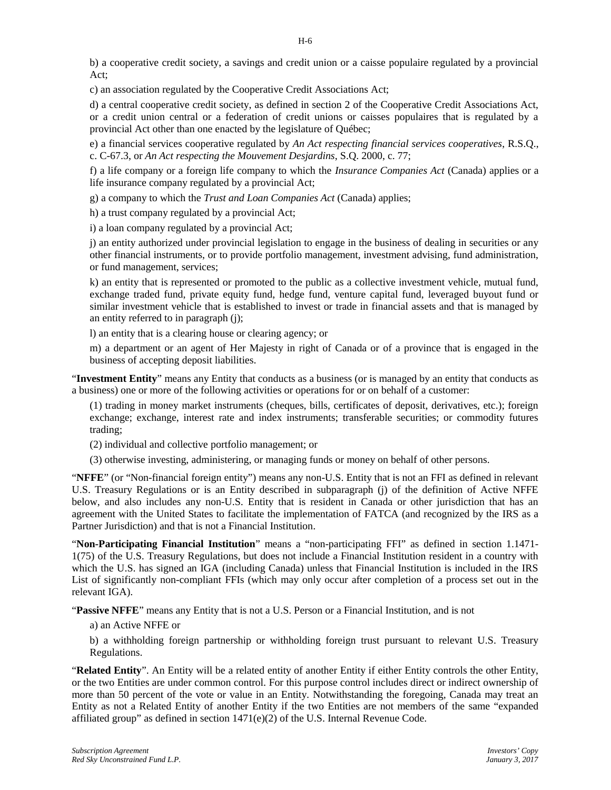b) a cooperative credit society, a savings and credit union or a caisse populaire regulated by a provincial Act;

c) an association regulated by the Cooperative Credit Associations Act;

d) a central cooperative credit society, as defined in section 2 of the Cooperative Credit Associations Act, or a credit union central or a federation of credit unions or caisses populaires that is regulated by a provincial Act other than one enacted by the legislature of Québec;

e) a financial services cooperative regulated by *An Act respecting financial services cooperatives*, R.S.Q., c. C-67.3, or *An Act respecting the Mouvement Desjardins*, S.Q. 2000, c. 77;

f) a life company or a foreign life company to which the *Insurance Companies Act* (Canada) applies or a life insurance company regulated by a provincial Act;

g) a company to which the *Trust and Loan Companies Act* (Canada) applies;

h) a trust company regulated by a provincial Act;

i) a loan company regulated by a provincial Act;

j) an entity authorized under provincial legislation to engage in the business of dealing in securities or any other financial instruments, or to provide portfolio management, investment advising, fund administration, or fund management, services;

k) an entity that is represented or promoted to the public as a collective investment vehicle, mutual fund, exchange traded fund, private equity fund, hedge fund, venture capital fund, leveraged buyout fund or similar investment vehicle that is established to invest or trade in financial assets and that is managed by an entity referred to in paragraph (j);

l) an entity that is a clearing house or clearing agency; or

m) a department or an agent of Her Majesty in right of Canada or of a province that is engaged in the business of accepting deposit liabilities.

"**Investment Entity**" means any Entity that conducts as a business (or is managed by an entity that conducts as a business) one or more of the following activities or operations for or on behalf of a customer:

(1) trading in money market instruments (cheques, bills, certificates of deposit, derivatives, etc.); foreign exchange; exchange, interest rate and index instruments; transferable securities; or commodity futures trading;

(2) individual and collective portfolio management; or

(3) otherwise investing, administering, or managing funds or money on behalf of other persons.

"**NFFE**" (or "Non-financial foreign entity") means any non-U.S. Entity that is not an FFI as defined in relevant U.S. Treasury Regulations or is an Entity described in subparagraph (j) of the definition of Active NFFE below, and also includes any non-U.S. Entity that is resident in Canada or other jurisdiction that has an agreement with the United States to facilitate the implementation of FATCA (and recognized by the IRS as a Partner Jurisdiction) and that is not a Financial Institution.

"**Non-Participating Financial Institution**" means a "non-participating FFI" as defined in section 1.1471- 1(75) of the U.S. Treasury Regulations, but does not include a Financial Institution resident in a country with which the U.S. has signed an IGA (including Canada) unless that Financial Institution is included in the IRS List of significantly non-compliant FFIs (which may only occur after completion of a process set out in the relevant IGA).

"**Passive NFFE**" means any Entity that is not a U.S. Person or a Financial Institution, and is not

a) an Active NFFE or

b) a withholding foreign partnership or withholding foreign trust pursuant to relevant U.S. Treasury Regulations.

"**Related Entity**". An Entity will be a related entity of another Entity if either Entity controls the other Entity, or the two Entities are under common control. For this purpose control includes direct or indirect ownership of more than 50 percent of the vote or value in an Entity. Notwithstanding the foregoing, Canada may treat an Entity as not a Related Entity of another Entity if the two Entities are not members of the same "expanded affiliated group" as defined in section 1471(e)(2) of the U.S. Internal Revenue Code.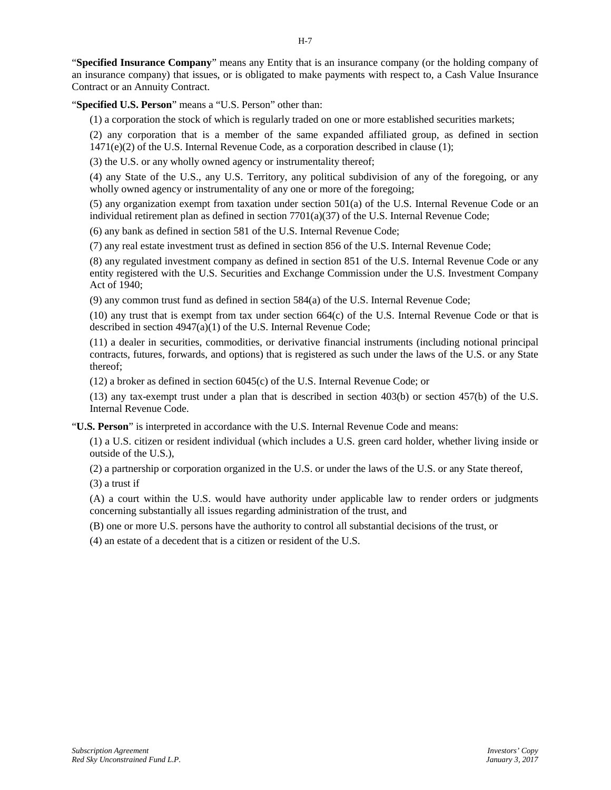"**Specified Insurance Company**" means any Entity that is an insurance company (or the holding company of an insurance company) that issues, or is obligated to make payments with respect to, a Cash Value Insurance Contract or an Annuity Contract.

"**Specified U.S. Person**" means a "U.S. Person" other than:

(1) a corporation the stock of which is regularly traded on one or more established securities markets;

(2) any corporation that is a member of the same expanded affiliated group, as defined in section  $1471(e)(2)$  of the U.S. Internal Revenue Code, as a corporation described in clause (1);

(3) the U.S. or any wholly owned agency or instrumentality thereof;

(4) any State of the U.S., any U.S. Territory, any political subdivision of any of the foregoing, or any wholly owned agency or instrumentality of any one or more of the foregoing;

(5) any organization exempt from taxation under section 501(a) of the U.S. Internal Revenue Code or an individual retirement plan as defined in section 7701(a)(37) of the U.S. Internal Revenue Code;

(6) any bank as defined in section 581 of the U.S. Internal Revenue Code;

(7) any real estate investment trust as defined in section 856 of the U.S. Internal Revenue Code;

(8) any regulated investment company as defined in section 851 of the U.S. Internal Revenue Code or any entity registered with the U.S. Securities and Exchange Commission under the U.S. Investment Company Act of 1940;

(9) any common trust fund as defined in section 584(a) of the U.S. Internal Revenue Code;

(10) any trust that is exempt from tax under section 664(c) of the U.S. Internal Revenue Code or that is described in section 4947(a)(1) of the U.S. Internal Revenue Code;

(11) a dealer in securities, commodities, or derivative financial instruments (including notional principal contracts, futures, forwards, and options) that is registered as such under the laws of the U.S. or any State thereof;

(12) a broker as defined in section 6045(c) of the U.S. Internal Revenue Code; or

(13) any tax-exempt trust under a plan that is described in section 403(b) or section 457(b) of the U.S. Internal Revenue Code.

"**U.S. Person**" is interpreted in accordance with the U.S. Internal Revenue Code and means:

(1) a U.S. citizen or resident individual (which includes a U.S. green card holder, whether living inside or outside of the U.S.),

(2) a partnership or corporation organized in the U.S. or under the laws of the U.S. or any State thereof,

(3) a trust if

(A) a court within the U.S. would have authority under applicable law to render orders or judgments concerning substantially all issues regarding administration of the trust, and

(B) one or more U.S. persons have the authority to control all substantial decisions of the trust, or

(4) an estate of a decedent that is a citizen or resident of the U.S.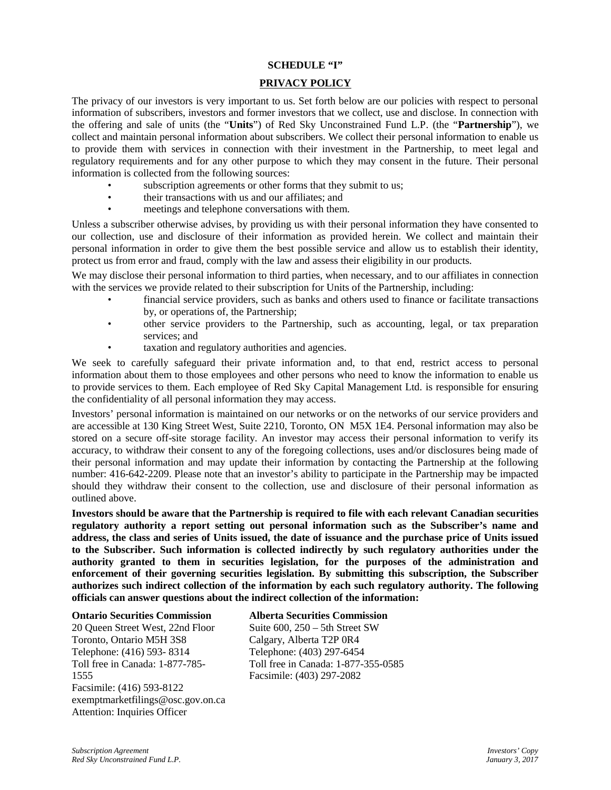### **SCHEDULE "I"**

# **PRIVACY POLICY**

The privacy of our investors is very important to us. Set forth below are our policies with respect to personal information of subscribers, investors and former investors that we collect, use and disclose. In connection with the offering and sale of units (the "**Units**") of Red Sky Unconstrained Fund L.P. (the "**Partnership**"), we collect and maintain personal information about subscribers. We collect their personal information to enable us to provide them with services in connection with their investment in the Partnership, to meet legal and regulatory requirements and for any other purpose to which they may consent in the future. Their personal information is collected from the following sources:

- subscription agreements or other forms that they submit to us;
- their transactions with us and our affiliates; and
- meetings and telephone conversations with them.

Unless a subscriber otherwise advises, by providing us with their personal information they have consented to our collection, use and disclosure of their information as provided herein. We collect and maintain their personal information in order to give them the best possible service and allow us to establish their identity, protect us from error and fraud, comply with the law and assess their eligibility in our products.

We may disclose their personal information to third parties, when necessary, and to our affiliates in connection with the services we provide related to their subscription for Units of the Partnership, including:

- financial service providers, such as banks and others used to finance or facilitate transactions by, or operations of, the Partnership;
- other service providers to the Partnership, such as accounting, legal, or tax preparation services; and
- taxation and regulatory authorities and agencies.

We seek to carefully safeguard their private information and, to that end, restrict access to personal information about them to those employees and other persons who need to know the information to enable us to provide services to them. Each employee of Red Sky Capital Management Ltd. is responsible for ensuring the confidentiality of all personal information they may access.

Investors' personal information is maintained on our networks or on the networks of our service providers and are accessible at 130 King Street West, Suite 2210, Toronto, ON M5X 1E4. Personal information may also be stored on a secure off-site storage facility. An investor may access their personal information to verify its accuracy, to withdraw their consent to any of the foregoing collections, uses and/or disclosures being made of their personal information and may update their information by contacting the Partnership at the following number: 416-642-2209. Please note that an investor's ability to participate in the Partnership may be impacted should they withdraw their consent to the collection, use and disclosure of their personal information as outlined above.

**Investors should be aware that the Partnership is required to file with each relevant Canadian securities regulatory authority a report setting out personal information such as the Subscriber's name and address, the class and series of Units issued, the date of issuance and the purchase price of Units issued to the Subscriber. Such information is collected indirectly by such regulatory authorities under the authority granted to them in securities legislation, for the purposes of the administration and enforcement of their governing securities legislation. By submitting this subscription, the Subscriber authorizes such indirect collection of the information by each such regulatory authority. The following officials can answer questions about the indirect collection of the information:**

#### **Ontario Securities Commission**

20 Queen Street West, 22nd Floor Toronto, Ontario M5H 3S8 Telephone: (416) 593- 8314 Toll free in Canada: 1-877-785- 1555 Facsimile: (416) 593-8122 exemptmarketfilings@osc.gov.on.ca Attention: Inquiries Officer

#### **Alberta Securities Commission**

Suite 600, 250 – 5th Street SW Calgary, Alberta T2P 0R4 Telephone: (403) 297-6454 Toll free in Canada: 1-877-355-0585 Facsimile: (403) 297-2082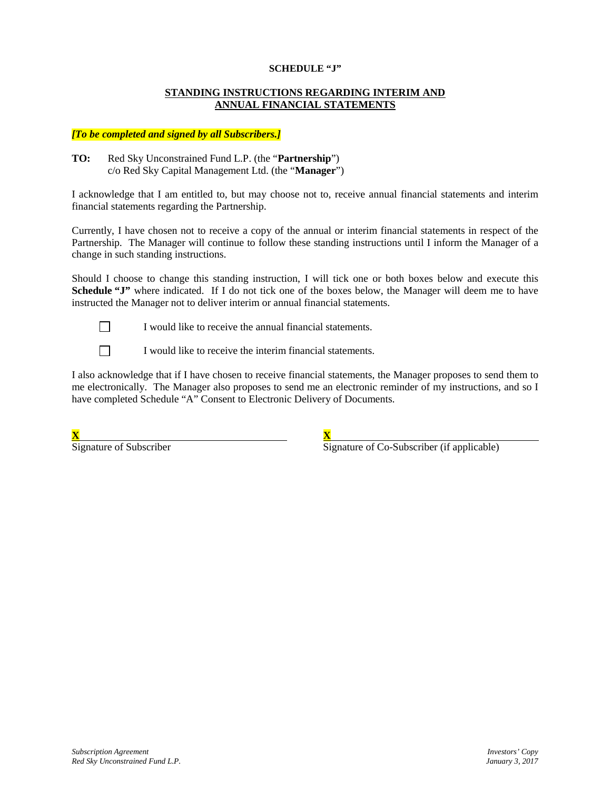#### **SCHEDULE "J"**

# **STANDING INSTRUCTIONS REGARDING INTERIM AND ANNUAL FINANCIAL STATEMENTS**

#### *[To be completed and signed by all Subscribers.]*

## **TO:** Red Sky Unconstrained Fund L.P. (the "**Partnership**") c/o Red Sky Capital Management Ltd. (the "**Manager**")

I acknowledge that I am entitled to, but may choose not to, receive annual financial statements and interim financial statements regarding the Partnership.

Currently, I have chosen not to receive a copy of the annual or interim financial statements in respect of the Partnership. The Manager will continue to follow these standing instructions until I inform the Manager of a change in such standing instructions.

Should I choose to change this standing instruction, I will tick one or both boxes below and execute this **Schedule "J"** where indicated. If I do not tick one of the boxes below, the Manager will deem me to have instructed the Manager not to deliver interim or annual financial statements.



 $\Box$ 

I would like to receive the annual financial statements.

I would like to receive the interim financial statements.

I also acknowledge that if I have chosen to receive financial statements, the Manager proposes to send them to me electronically. The Manager also proposes to send me an electronic reminder of my instructions, and so I have completed Schedule "A" Consent to Electronic Delivery of Documents.

| $-$<br><u>ж.</u> |  |
|------------------|--|
|                  |  |

Signature of Subscriber Subscriber Signature of Co-Subscriber (if applicable)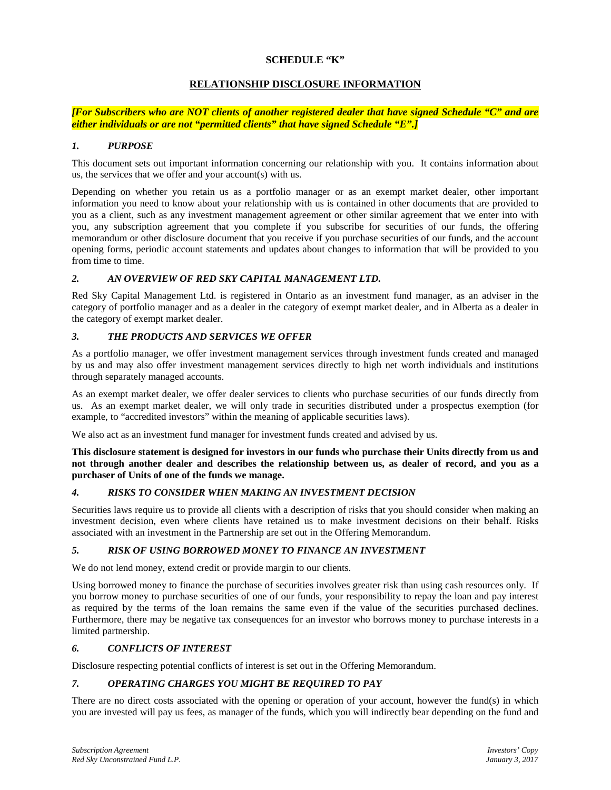# **SCHEDULE "K"**

## **RELATIONSHIP DISCLOSURE INFORMATION**

*[For Subscribers who are NOT clients of another registered dealer that have signed Schedule "C" and are either individuals or are not "permitted clients" that have signed Schedule "E".]*

#### *1. PURPOSE*

This document sets out important information concerning our relationship with you. It contains information about us, the services that we offer and your account(s) with us.

Depending on whether you retain us as a portfolio manager or as an exempt market dealer, other important information you need to know about your relationship with us is contained in other documents that are provided to you as a client, such as any investment management agreement or other similar agreement that we enter into with you, any subscription agreement that you complete if you subscribe for securities of our funds, the offering memorandum or other disclosure document that you receive if you purchase securities of our funds, and the account opening forms, periodic account statements and updates about changes to information that will be provided to you from time to time.

## *2. AN OVERVIEW OF RED SKY CAPITAL MANAGEMENT LTD.*

Red Sky Capital Management Ltd. is registered in Ontario as an investment fund manager, as an adviser in the category of portfolio manager and as a dealer in the category of exempt market dealer, and in Alberta as a dealer in the category of exempt market dealer.

#### *3. THE PRODUCTS AND SERVICES WE OFFER*

As a portfolio manager, we offer investment management services through investment funds created and managed by us and may also offer investment management services directly to high net worth individuals and institutions through separately managed accounts.

As an exempt market dealer, we offer dealer services to clients who purchase securities of our funds directly from us. As an exempt market dealer, we will only trade in securities distributed under a prospectus exemption (for example, to "accredited investors" within the meaning of applicable securities laws).

We also act as an investment fund manager for investment funds created and advised by us.

**This disclosure statement is designed for investors in our funds who purchase their Units directly from us and not through another dealer and describes the relationship between us, as dealer of record, and you as a purchaser of Units of one of the funds we manage.**

#### *4. RISKS TO CONSIDER WHEN MAKING AN INVESTMENT DECISION*

Securities laws require us to provide all clients with a description of risks that you should consider when making an investment decision, even where clients have retained us to make investment decisions on their behalf. Risks associated with an investment in the Partnership are set out in the Offering Memorandum.

#### *5. RISK OF USING BORROWED MONEY TO FINANCE AN INVESTMENT*

We do not lend money, extend credit or provide margin to our clients.

Using borrowed money to finance the purchase of securities involves greater risk than using cash resources only. If you borrow money to purchase securities of one of our funds, your responsibility to repay the loan and pay interest as required by the terms of the loan remains the same even if the value of the securities purchased declines. Furthermore, there may be negative tax consequences for an investor who borrows money to purchase interests in a limited partnership.

#### *6. CONFLICTS OF INTEREST*

Disclosure respecting potential conflicts of interest is set out in the Offering Memorandum.

#### *7. OPERATING CHARGES YOU MIGHT BE REQUIRED TO PAY*

There are no direct costs associated with the opening or operation of your account, however the fund(s) in which you are invested will pay us fees, as manager of the funds, which you will indirectly bear depending on the fund and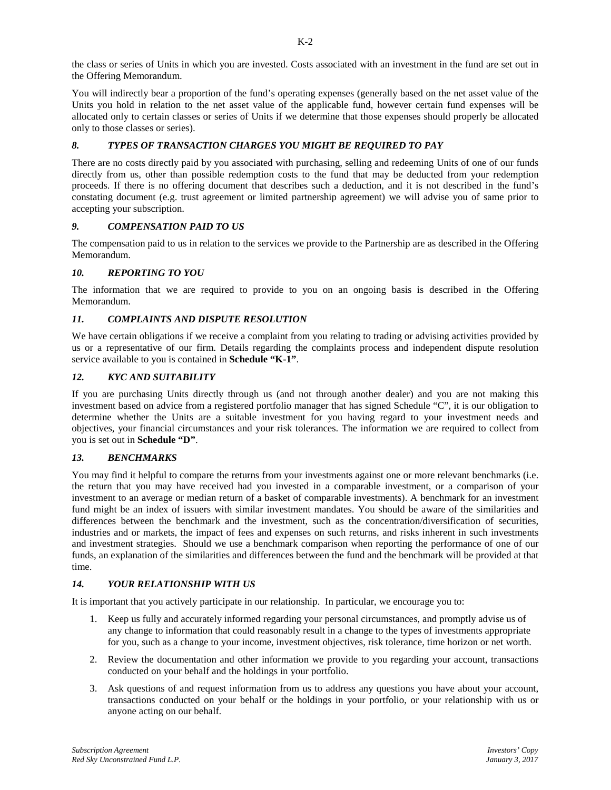You will indirectly bear a proportion of the fund's operating expenses (generally based on the net asset value of the Units you hold in relation to the net asset value of the applicable fund, however certain fund expenses will be allocated only to certain classes or series of Units if we determine that those expenses should properly be allocated only to those classes or series).

# *8. TYPES OF TRANSACTION CHARGES YOU MIGHT BE REQUIRED TO PAY*

There are no costs directly paid by you associated with purchasing, selling and redeeming Units of one of our funds directly from us, other than possible redemption costs to the fund that may be deducted from your redemption proceeds. If there is no offering document that describes such a deduction, and it is not described in the fund's constating document (e.g. trust agreement or limited partnership agreement) we will advise you of same prior to accepting your subscription.

## *9. COMPENSATION PAID TO US*

The compensation paid to us in relation to the services we provide to the Partnership are as described in the Offering Memorandum.

## *10. REPORTING TO YOU*

The information that we are required to provide to you on an ongoing basis is described in the Offering Memorandum.

## *11. COMPLAINTS AND DISPUTE RESOLUTION*

We have certain obligations if we receive a complaint from you relating to trading or advising activities provided by us or a representative of our firm. Details regarding the complaints process and independent dispute resolution service available to you is contained in **Schedule "K-1"**.

## *12. KYC AND SUITABILITY*

If you are purchasing Units directly through us (and not through another dealer) and you are not making this investment based on advice from a registered portfolio manager that has signed Schedule "C", it is our obligation to determine whether the Units are a suitable investment for you having regard to your investment needs and objectives, your financial circumstances and your risk tolerances. The information we are required to collect from you is set out in **Schedule "D"**.

# *13. BENCHMARKS*

You may find it helpful to compare the returns from your investments against one or more relevant benchmarks (i.e. the return that you may have received had you invested in a comparable investment, or a comparison of your investment to an average or median return of a basket of comparable investments). A benchmark for an investment fund might be an index of issuers with similar investment mandates. You should be aware of the similarities and differences between the benchmark and the investment, such as the concentration/diversification of securities, industries and or markets, the impact of fees and expenses on such returns, and risks inherent in such investments and investment strategies. Should we use a benchmark comparison when reporting the performance of one of our funds, an explanation of the similarities and differences between the fund and the benchmark will be provided at that time.

# *14. YOUR RELATIONSHIP WITH US*

It is important that you actively participate in our relationship. In particular, we encourage you to:

- 1. Keep us fully and accurately informed regarding your personal circumstances, and promptly advise us of any change to information that could reasonably result in a change to the types of investments appropriate for you, such as a change to your income, investment objectives, risk tolerance, time horizon or net worth.
- 2. Review the documentation and other information we provide to you regarding your account, transactions conducted on your behalf and the holdings in your portfolio.
- 3. Ask questions of and request information from us to address any questions you have about your account, transactions conducted on your behalf or the holdings in your portfolio, or your relationship with us or anyone acting on our behalf.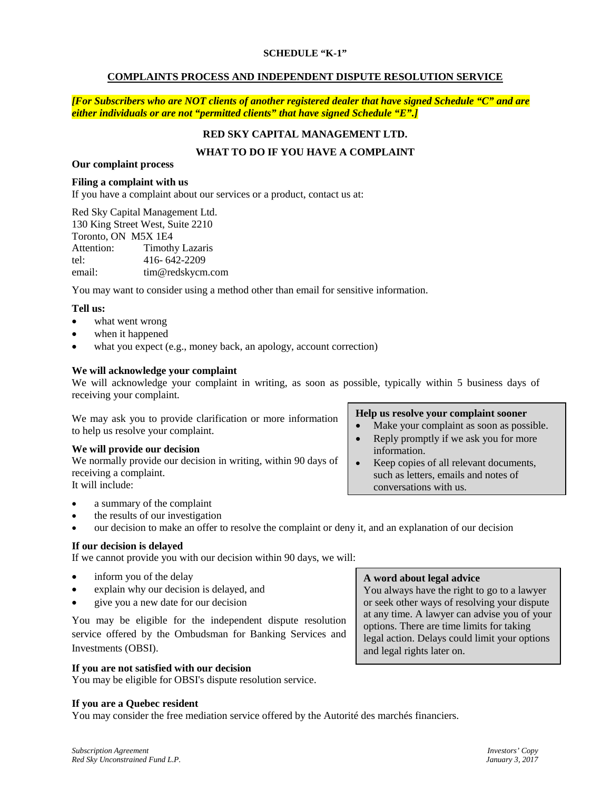#### **SCHEDULE "K-1"**

# **COMPLAINTS PROCESS AND INDEPENDENT DISPUTE RESOLUTION SERVICE**

*[For Subscribers who are NOT clients of another registered dealer that have signed Schedule "C" and are either individuals or are not "permitted clients" that have signed Schedule "E".]*

# **RED SKY CAPITAL MANAGEMENT LTD.**

# **WHAT TO DO IF YOU HAVE A COMPLAINT**

# **Our complaint process**

# **Filing a complaint with us**

If you have a complaint about our services or a product, contact us at:

Red Sky Capital Management Ltd. 130 King Street West, Suite 2210 Toronto, ON M5X 1E4 Attention: Timothy Lazaris tel: 416- 642-2209 email: tim@redskycm.com

You may want to consider using a method other than email for sensitive information.

## **Tell us:**

- what went wrong
- when it happened
- what you expect (e.g., money back, an apology, account correction)

## **We will acknowledge your complaint**

We will acknowledge your complaint in writing, as soon as possible, typically within 5 business days of receiving your complaint.

We may ask you to provide clarification or more information to help us resolve your complaint.

#### **We will provide our decision**

We normally provide our decision in writing, within 90 days of receiving a complaint. It will include:

## **Help us resolve your complaint sooner**

- Make your complaint as soon as possible.
- Reply promptly if we ask you for more information.
- Keep copies of all relevant documents, such as letters, emails and notes of conversations with us.

a summary of the complaint

- the results of our investigation
- our decision to make an offer to resolve the complaint or deny it, and an explanation of our decision

#### **If our decision is delayed**

If we cannot provide you with our decision within 90 days, we will:

- inform you of the delay
- explain why our decision is delayed, and
- give you a new date for our decision

You may be eligible for the independent dispute resolution service offered by the Ombudsman for Banking Services and Investments (OBSI).

# **If you are not satisfied with our decision**

You may be eligible for OBSI's dispute resolution service.

#### **If you are a Quebec resident**

You may consider the free mediation service offered by the Autorité des marchés financiers.

**A word about legal advice**

You always have the right to go to a lawyer or seek other ways of resolving your dispute at any time. A lawyer can advise you of your options. There are time limits for taking legal action. Delays could limit your options and legal rights later on.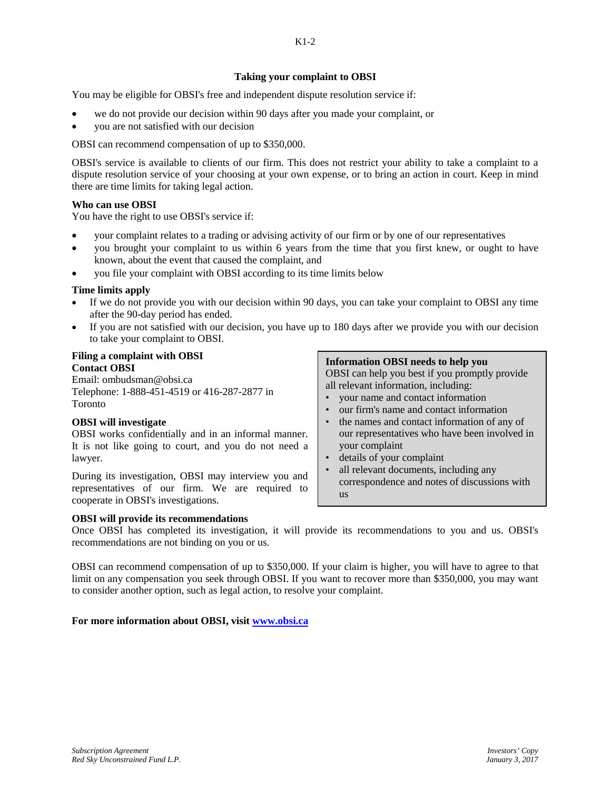# **Taking your complaint to OBSI**

You may be eligible for OBSI's free and independent dispute resolution service if:

- we do not provide our decision within 90 days after you made your complaint, or
- you are not satisfied with our decision

OBSI can recommend compensation of up to \$350,000.

OBSI's service is available to clients of our firm. This does not restrict your ability to take a complaint to a dispute resolution service of your choosing at your own expense, or to bring an action in court. Keep in mind there are time limits for taking legal action.

#### **Who can use OBSI**

You have the right to use OBSI's service if:

- your complaint relates to a trading or advising activity of our firm or by one of our representatives
- you brought your complaint to us within 6 years from the time that you first knew, or ought to have known, about the event that caused the complaint, and
- you file your complaint with OBSI according to its time limits below

#### **Time limits apply**

- If we do not provide you with our decision within 90 days, you can take your complaint to OBSI any time after the 90-day period has ended.
- If you are not satisfied with our decision, you have up to 180 days after we provide you with our decision to take your complaint to OBSI.

#### **Filing a complaint with OBSI Contact OBSI**

Email: ombudsman@obsi.ca Telephone: 1-888-451-4519 or 416-287-2877 in Toronto

#### **OBSI will investigate**

OBSI works confidentially and in an informal manner. It is not like going to court, and you do not need a lawyer.

During its investigation, OBSI may interview you and representatives of our firm. We are required to cooperate in OBSI's investigations.

#### **OBSI will provide its recommendations**

# **Information OBSI needs to help you**

OBSI can help you best if you promptly provide all relevant information, including:

- your name and contact information
- our firm's name and contact information
- the names and contact information of any of our representatives who have been involved in your complaint
- details of your complaint
- all relevant documents, including any correspondence and notes of discussions with us

Once OBSI has completed its investigation, it will provide its recommendations to you and us. OBSI's recommendations are not binding on you or us.

OBSI can recommend compensation of up to \$350,000. If your claim is higher, you will have to agree to that limit on any compensation you seek through OBSI. If you want to recover more than \$350,000, you may want to consider another option, such as legal action, to resolve your complaint.

#### **For more information about OBSI, visit www.obsi.ca**